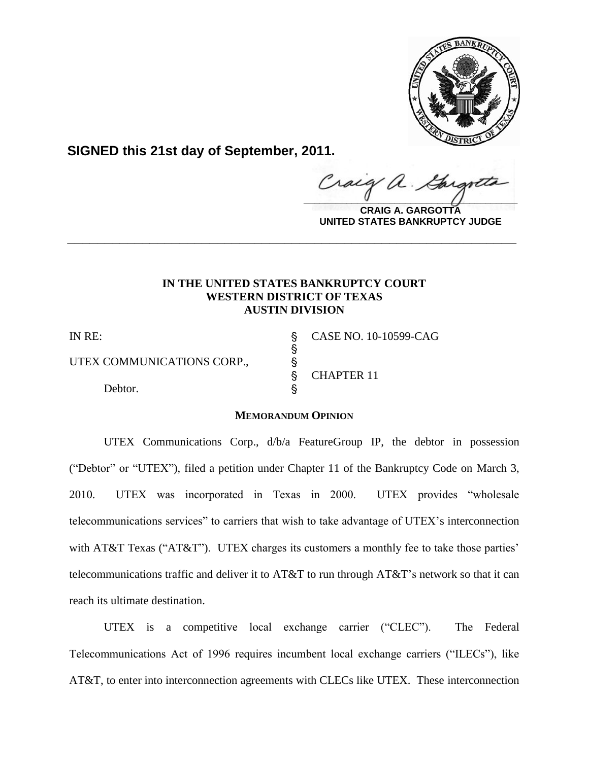

**SIGNED this 21st day of September, 2011.**

Craig a. Gar

**CRAIG A. GARGOTTA UNITED STATES BANKRUPTCY JUDGE**

# **IN THE UNITED STATES BANKRUPTCY COURT WESTERN DISTRICT OF TEXAS AUSTIN DIVISION**

**\_\_\_\_\_\_\_\_\_\_\_\_\_\_\_\_\_\_\_\_\_\_\_\_\_\_\_\_\_\_\_\_\_\_\_\_\_\_\_\_\_\_\_\_\_\_\_\_\_\_\_\_\_\_\_\_\_\_\_\_**

 $\S$ 

IN RE: ' CASE NO. 10-10599-CAG UTEX COMMUNICATIONS CORP.,  $\S$ 

Debtor.

§ CHAPTER 11

# **MEMORANDUM OPINION**

UTEX Communications Corp., d/b/a FeatureGroup IP, the debtor in possession ("Debtor" or "UTEX"), filed a petition under Chapter 11 of the Bankruptcy Code on March 3, 2010. UTEX was incorporated in Texas in 2000. UTEX provides "wholesale telecommunications services" to carriers that wish to take advantage of UTEX's interconnection with AT&T Texas ("AT&T"). UTEX charges its customers a monthly fee to take those parties' telecommunications traffic and deliver it to AT&T to run through AT&T's network so that it can reach its ultimate destination.

UTEX is a competitive local exchange carrier ("CLEC"). The Federal Telecommunications Act of 1996 requires incumbent local exchange carriers ("ILECs"), like AT&T, to enter into interconnection agreements with CLECs like UTEX. These interconnection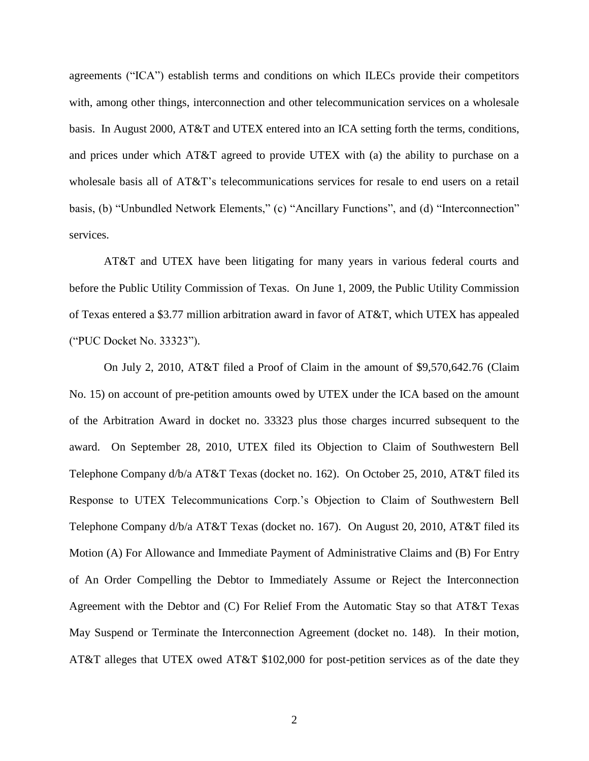agreements ("ICA") establish terms and conditions on which ILECs provide their competitors with, among other things, interconnection and other telecommunication services on a wholesale basis. In August 2000, AT&T and UTEX entered into an ICA setting forth the terms, conditions, and prices under which AT&T agreed to provide UTEX with (a) the ability to purchase on a wholesale basis all of AT&T's telecommunications services for resale to end users on a retail basis, (b) "Unbundled Network Elements," (c) "Ancillary Functions", and (d) "Interconnection" services.

AT&T and UTEX have been litigating for many years in various federal courts and before the Public Utility Commission of Texas. On June 1, 2009, the Public Utility Commission of Texas entered a \$3.77 million arbitration award in favor of AT&T, which UTEX has appealed ("PUC Docket No. 33323").

On July 2, 2010, AT&T filed a Proof of Claim in the amount of \$9,570,642.76 (Claim No. 15) on account of pre-petition amounts owed by UTEX under the ICA based on the amount of the Arbitration Award in docket no. 33323 plus those charges incurred subsequent to the award. On September 28, 2010, UTEX filed its Objection to Claim of Southwestern Bell Telephone Company d/b/a AT&T Texas (docket no. 162). On October 25, 2010, AT&T filed its Response to UTEX Telecommunications Corp.'s Objection to Claim of Southwestern Bell Telephone Company d/b/a AT&T Texas (docket no. 167). On August 20, 2010, AT&T filed its Motion (A) For Allowance and Immediate Payment of Administrative Claims and (B) For Entry of An Order Compelling the Debtor to Immediately Assume or Reject the Interconnection Agreement with the Debtor and (C) For Relief From the Automatic Stay so that AT&T Texas May Suspend or Terminate the Interconnection Agreement (docket no. 148). In their motion, AT&T alleges that UTEX owed AT&T \$102,000 for post-petition services as of the date they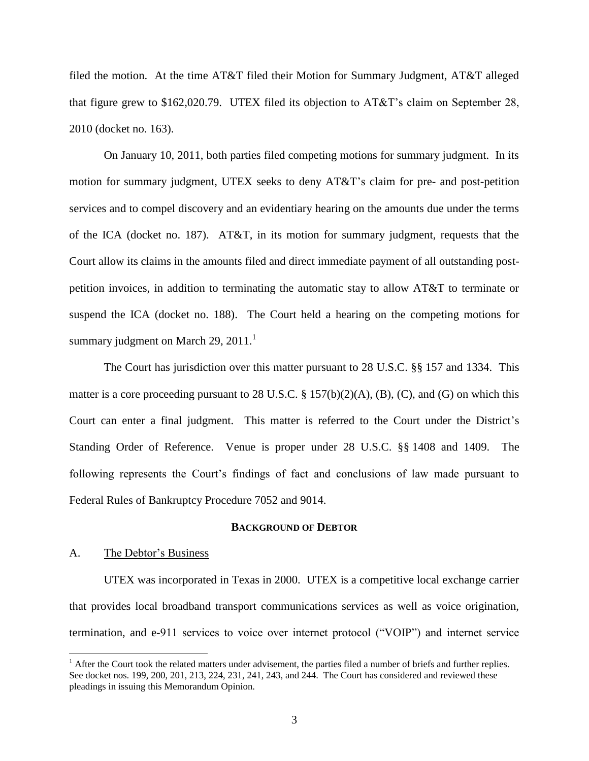filed the motion. At the time AT&T filed their Motion for Summary Judgment, AT&T alleged that figure grew to \$162,020.79. UTEX filed its objection to AT&T's claim on September 28, 2010 (docket no. 163).

On January 10, 2011, both parties filed competing motions for summary judgment. In its motion for summary judgment, UTEX seeks to deny AT&T's claim for pre- and post-petition services and to compel discovery and an evidentiary hearing on the amounts due under the terms of the ICA (docket no. 187). AT&T, in its motion for summary judgment, requests that the Court allow its claims in the amounts filed and direct immediate payment of all outstanding postpetition invoices, in addition to terminating the automatic stay to allow AT&T to terminate or suspend the ICA (docket no. 188). The Court held a hearing on the competing motions for summary judgment on March 29,  $2011<sup>1</sup>$ 

The Court has jurisdiction over this matter pursuant to 28 U.S.C. §§ 157 and 1334. This matter is a core proceeding pursuant to 28 U.S.C. § 157(b)(2)(A), (B), (C), and (G) on which this Court can enter a final judgment. This matter is referred to the Court under the District's Standing Order of Reference. Venue is proper under 28 U.S.C. §§ 1408 and 1409. The following represents the Court's findings of fact and conclusions of law made pursuant to Federal Rules of Bankruptcy Procedure 7052 and 9014.

#### **BACKGROUND OF DEBTOR**

## A. The Debtor's Business

 $\overline{a}$ 

UTEX was incorporated in Texas in 2000. UTEX is a competitive local exchange carrier that provides local broadband transport communications services as well as voice origination, termination, and e-911 services to voice over internet protocol ("VOIP") and internet service

 $<sup>1</sup>$  After the Court took the related matters under advisement, the parties filed a number of briefs and further replies.</sup> See docket nos. 199, 200, 201, 213, 224, 231, 241, 243, and 244. The Court has considered and reviewed these pleadings in issuing this Memorandum Opinion.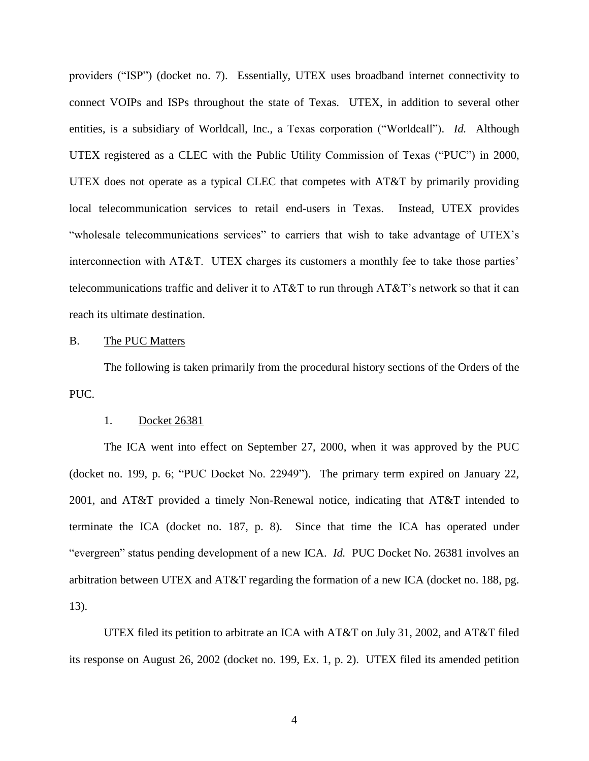providers ("ISP") (docket no. 7). Essentially, UTEX uses broadband internet connectivity to connect VOIPs and ISPs throughout the state of Texas. UTEX, in addition to several other entities, is a subsidiary of Worldcall, Inc., a Texas corporation ("Worldcall"). *Id.* Although UTEX registered as a CLEC with the Public Utility Commission of Texas ( $"PUC"$ ) in 2000, UTEX does not operate as a typical CLEC that competes with AT&T by primarily providing local telecommunication services to retail end-users in Texas. Instead, UTEX provides "wholesale telecommunications services" to carriers that wish to take advantage of UTEX's interconnection with AT&T. UTEX charges its customers a monthly fee to take those parties' telecommunications traffic and deliver it to AT&T to run through AT&T's network so that it can reach its ultimate destination.

### B. The PUC Matters

The following is taken primarily from the procedural history sections of the Orders of the PUC.

#### 1. Docket 26381

The ICA went into effect on September 27, 2000, when it was approved by the PUC (docket no. 199, p. 6; "PUC Docket No. 22949"). The primary term expired on January 22, 2001, and AT&T provided a timely Non-Renewal notice, indicating that AT&T intended to terminate the ICA (docket no. 187, p. 8). Since that time the ICA has operated under "evergreen" status pending development of a new ICA. *Id.* PUC Docket No. 26381 involves an arbitration between UTEX and AT&T regarding the formation of a new ICA (docket no. 188, pg. 13).

UTEX filed its petition to arbitrate an ICA with AT&T on July 31, 2002, and AT&T filed its response on August 26, 2002 (docket no. 199, Ex. 1, p. 2). UTEX filed its amended petition

4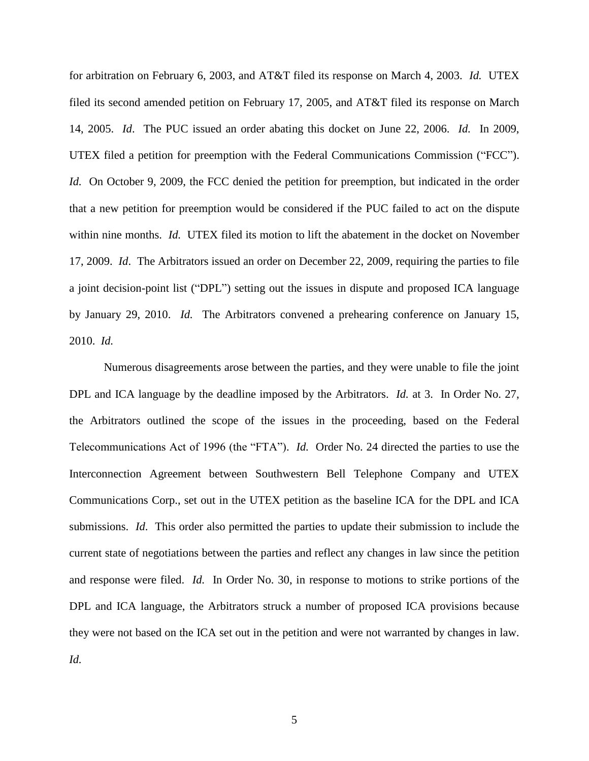for arbitration on February 6, 2003, and AT&T filed its response on March 4, 2003. *Id.* UTEX filed its second amended petition on February 17, 2005, and AT&T filed its response on March 14, 2005. *Id*. The PUC issued an order abating this docket on June 22, 2006. *Id.* In 2009, UTEX filed a petition for preemption with the Federal Communications Commission ("FCC"). *Id.* On October 9, 2009, the FCC denied the petition for preemption, but indicated in the order that a new petition for preemption would be considered if the PUC failed to act on the dispute within nine months. *Id.* UTEX filed its motion to lift the abatement in the docket on November 17, 2009. *Id*. The Arbitrators issued an order on December 22, 2009, requiring the parties to file a joint decision-point list ("DPL") setting out the issues in dispute and proposed ICA language by January 29, 2010. *Id.* The Arbitrators convened a prehearing conference on January 15, 2010. *Id.*

Numerous disagreements arose between the parties, and they were unable to file the joint DPL and ICA language by the deadline imposed by the Arbitrators. *Id.* at 3. In Order No. 27, the Arbitrators outlined the scope of the issues in the proceeding, based on the Federal Telecommunications Act of 1996 (the "FTA"). *Id.* Order No. 24 directed the parties to use the Interconnection Agreement between Southwestern Bell Telephone Company and UTEX Communications Corp., set out in the UTEX petition as the baseline ICA for the DPL and ICA submissions. *Id*. This order also permitted the parties to update their submission to include the current state of negotiations between the parties and reflect any changes in law since the petition and response were filed. *Id.* In Order No. 30, in response to motions to strike portions of the DPL and ICA language, the Arbitrators struck a number of proposed ICA provisions because they were not based on the ICA set out in the petition and were not warranted by changes in law. *Id.*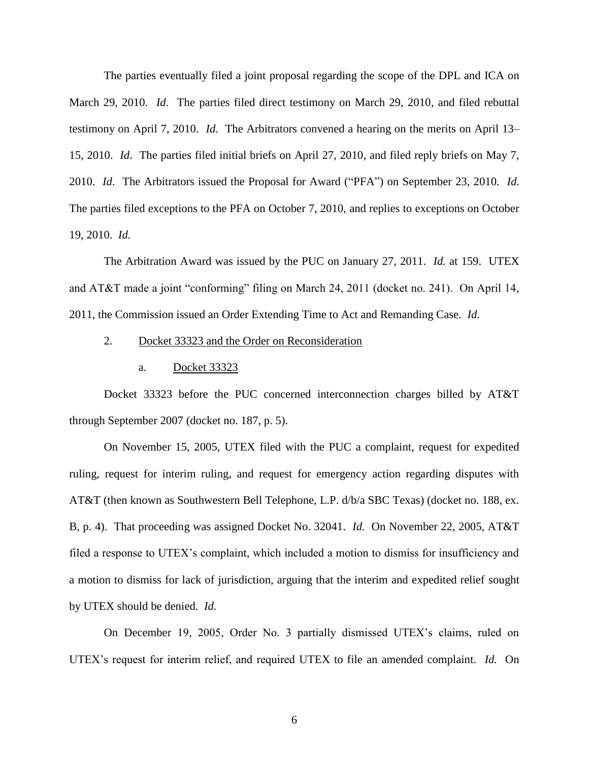The parties eventually filed a joint proposal regarding the scope of the DPL and ICA on March 29, 2010. *Id*. The parties filed direct testimony on March 29, 2010, and filed rebuttal testimony on April 7, 2010. *Id*. The Arbitrators convened a hearing on the merits on April 13– 15, 2010. *Id*. The parties filed initial briefs on April 27, 2010, and filed reply briefs on May 7, 2010. *Id.* The Arbitrators issued the Proposal for Award ("PFA") on September 23, 2010. *Id.* The parties filed exceptions to the PFA on October 7, 2010, and replies to exceptions on October 19, 2010. *Id.*

The Arbitration Award was issued by the PUC on January 27, 2011. *Id.* at 159. UTEX and  $AT&T$  made a joint "conforming" filing on March 24, 2011 (docket no. 241). On April 14, 2011, the Commission issued an Order Extending Time to Act and Remanding Case. *Id.*

# 2. Docket 33323 and the Order on Reconsideration

#### a. Docket 33323

Docket 33323 before the PUC concerned interconnection charges billed by AT&T through September 2007 (docket no. 187, p. 5).

On November 15, 2005, UTEX filed with the PUC a complaint, request for expedited ruling, request for interim ruling, and request for emergency action regarding disputes with AT&T (then known as Southwestern Bell Telephone, L.P. d/b/a SBC Texas) (docket no. 188, ex. B, p. 4). That proceeding was assigned Docket No. 32041. *Id.* On November 22, 2005, AT&T filed a response to UTEX's complaint, which included a motion to dismiss for insufficiency and a motion to dismiss for lack of jurisdiction, arguing that the interim and expedited relief sought by UTEX should be denied. *Id.*

On December 19, 2005, Order No. 3 partially dismissed UTEX's claims, ruled on UTEX's request for interim relief, and required UTEX to file an amended complaint. *Id.* On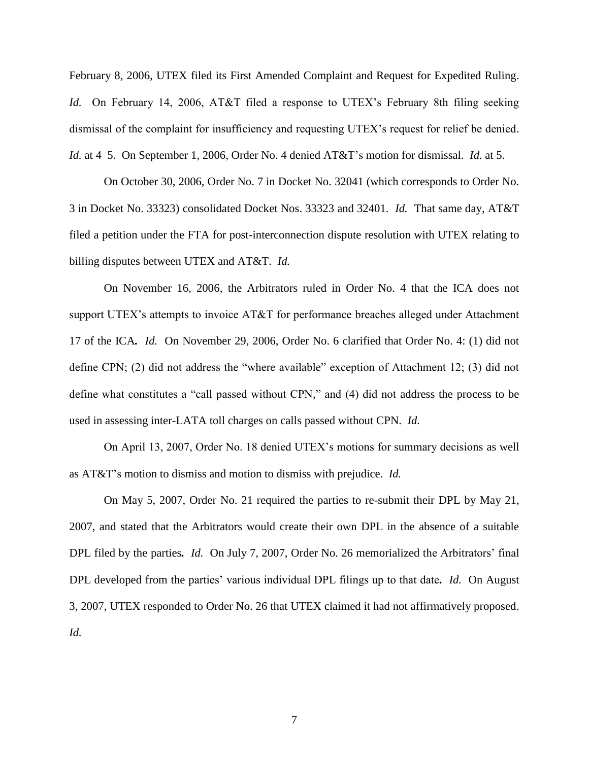February 8, 2006, UTEX filed its First Amended Complaint and Request for Expedited Ruling. *Id.* On February 14, 2006, AT&T filed a response to UTEX's February 8th filing seeking dismissal of the complaint for insufficiency and requesting UTEX's request for relief be denied. *Id.* at 4–5. On September 1, 2006, Order No. 4 denied AT&T's motion for dismissal. *Id.* at 5.

On October 30, 2006, Order No. 7 in Docket No. 32041 (which corresponds to Order No. 3 in Docket No. 33323) consolidated Docket Nos. 33323 and 32401. *Id.* That same day, AT&T filed a petition under the FTA for post-interconnection dispute resolution with UTEX relating to billing disputes between UTEX and AT&T. *Id.*

On November 16, 2006, the Arbitrators ruled in Order No. 4 that the ICA does not support UTEX's attempts to invoice AT&T for performance breaches alleged under Attachment 17 of the ICA*. Id.* On November 29, 2006, Order No. 6 clarified that Order No. 4: (1) did not define CPN; (2) did not address the "where available" exception of Attachment 12; (3) did not define what constitutes a "call passed without CPN," and (4) did not address the process to be used in assessing inter-LATA toll charges on calls passed without CPN. *Id.*

On April 13, 2007, Order No. 18 denied UTEX's motions for summary decisions as well as AT&T's motion to dismiss and motion to dismiss with prejudice. *Id.*

On May 5, 2007, Order No. 21 required the parties to re-submit their DPL by May 21, 2007, and stated that the Arbitrators would create their own DPL in the absence of a suitable DPL filed by the parties*. Id.* On July 7, 2007, Order No. 26 memorialized the Arbitrators' final DPL developed from the parties' various individual DPL filings up to that date*. Id.* On August 3, 2007, UTEX responded to Order No. 26 that UTEX claimed it had not affirmatively proposed. *Id.*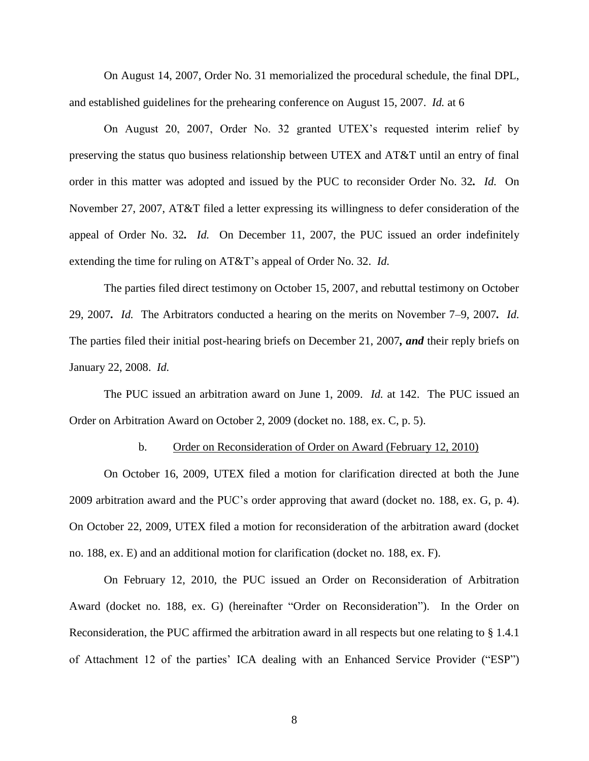On August 14, 2007, Order No. 31 memorialized the procedural schedule, the final DPL, and established guidelines for the prehearing conference on August 15, 2007. *Id.* at 6

On August 20, 2007, Order No. 32 granted UTEX's requested interim relief by preserving the status quo business relationship between UTEX and AT&T until an entry of final order in this matter was adopted and issued by the PUC to reconsider Order No. 32*. Id.* On November 27, 2007, AT&T filed a letter expressing its willingness to defer consideration of the appeal of Order No. 32*. Id.* On December 11, 2007, the PUC issued an order indefinitely extending the time for ruling on AT&T's appeal of Order No. 32. *Id.*

The parties filed direct testimony on October 15, 2007, and rebuttal testimony on October 29, 2007*. Id.* The Arbitrators conducted a hearing on the merits on November 7–9, 2007*. Id.*  The parties filed their initial post-hearing briefs on December 21, 2007*, and* their reply briefs on January 22, 2008. *Id.*

The PUC issued an arbitration award on June 1, 2009. *Id.* at 142. The PUC issued an Order on Arbitration Award on October 2, 2009 (docket no. 188, ex. C, p. 5).

#### b. Order on Reconsideration of Order on Award (February 12, 2010)

On October 16, 2009, UTEX filed a motion for clarification directed at both the June 2009 arbitration award and the PUC's order approving that award (docket no. 188, ex. G, p. 4). On October 22, 2009, UTEX filed a motion for reconsideration of the arbitration award (docket no. 188, ex. E) and an additional motion for clarification (docket no. 188, ex. F).

On February 12, 2010, the PUC issued an Order on Reconsideration of Arbitration Award (docket no. 188, ex. G) (hereinafter "Order on Reconsideration"). In the Order on Reconsideration, the PUC affirmed the arbitration award in all respects but one relating to § 1.4.1 of Attachment 12 of the parties' ICA dealing with an Enhanced Service Provider ("ESP")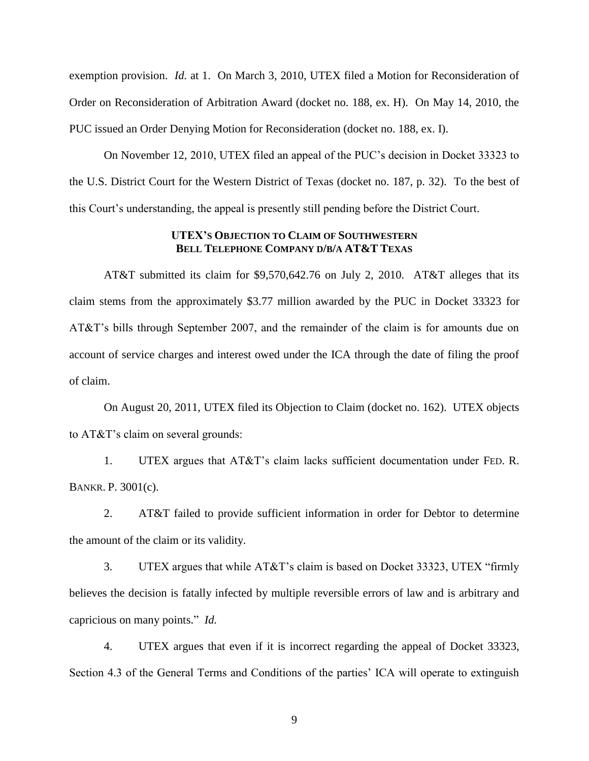exemption provision. *Id.* at 1. On March 3, 2010, UTEX filed a Motion for Reconsideration of Order on Reconsideration of Arbitration Award (docket no. 188, ex. H). On May 14, 2010, the PUC issued an Order Denying Motion for Reconsideration (docket no. 188, ex. I).

On November 12, 2010, UTEX filed an appeal of the PUC's decision in Docket 33323 to the U.S. District Court for the Western District of Texas (docket no. 187, p. 32). To the best of this Court's understanding, the appeal is presently still pending before the District Court.

# **UTEX'S OBJECTION TO CLAIM OF SOUTHWESTERN BELL TELEPHONE COMPANY D/B/A AT&T TEXAS**

AT&T submitted its claim for \$9,570,642.76 on July 2, 2010. AT&T alleges that its claim stems from the approximately \$3.77 million awarded by the PUC in Docket 33323 for AT&T's bills through September 2007, and the remainder of the claim is for amounts due on account of service charges and interest owed under the ICA through the date of filing the proof of claim.

On August 20, 2011, UTEX filed its Objection to Claim (docket no. 162). UTEX objects to AT&T's claim on several grounds:

1. UTEX argues that AT&T's claim lacks sufficient documentation under FED. R. BANKR. P. 3001(c).

2. AT&T failed to provide sufficient information in order for Debtor to determine the amount of the claim or its validity.

3. UTEX argues that while AT&T's claim is based on Docket 33323, UTEX "firmly" believes the decision is fatally infected by multiple reversible errors of law and is arbitrary and capricious on many points.‖ *Id.* 

4. UTEX argues that even if it is incorrect regarding the appeal of Docket 33323, Section 4.3 of the General Terms and Conditions of the parties' ICA will operate to extinguish

9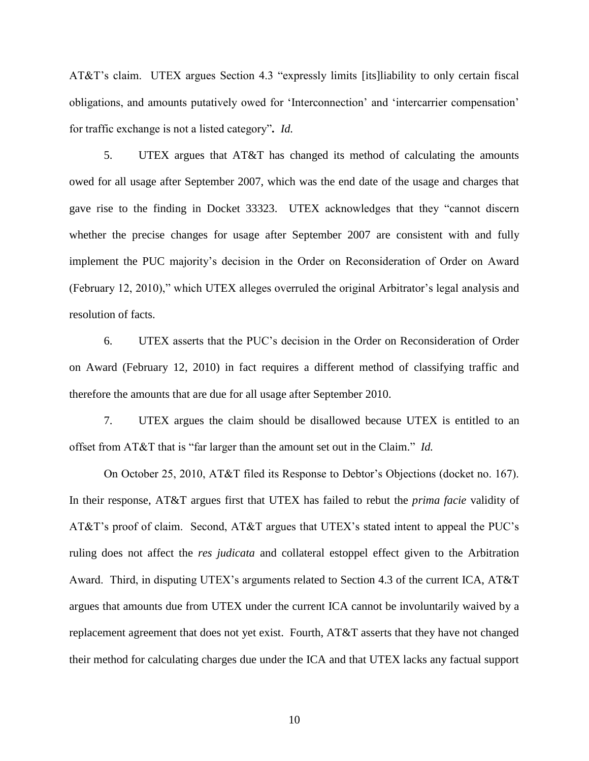AT&T's claim. UTEX argues Section 4.3 "expressly limits [its]liability to only certain fiscal obligations, and amounts putatively owed for ‗Interconnection' and ‗intercarrier compensation' for traffic exchange is not a listed category". *Id.* 

5. UTEX argues that AT&T has changed its method of calculating the amounts owed for all usage after September 2007, which was the end date of the usage and charges that gave rise to the finding in Docket 33323. UTEX acknowledges that they "cannot discern whether the precise changes for usage after September 2007 are consistent with and fully implement the PUC majority's decision in the Order on Reconsideration of Order on Award (February 12, 2010)," which UTEX alleges overruled the original Arbitrator's legal analysis and resolution of facts.

6. UTEX asserts that the PUC's decision in the Order on Reconsideration of Order on Award (February 12, 2010) in fact requires a different method of classifying traffic and therefore the amounts that are due for all usage after September 2010.

7. UTEX argues the claim should be disallowed because UTEX is entitled to an offset from AT&T that is "far larger than the amount set out in the Claim." *Id.* 

On October 25, 2010, AT&T filed its Response to Debtor's Objections (docket no. 167). In their response, AT&T argues first that UTEX has failed to rebut the *prima facie* validity of AT&T's proof of claim. Second, AT&T argues that UTEX's stated intent to appeal the PUC's ruling does not affect the *res judicata* and collateral estoppel effect given to the Arbitration Award. Third, in disputing UTEX's arguments related to Section 4.3 of the current ICA, AT&T argues that amounts due from UTEX under the current ICA cannot be involuntarily waived by a replacement agreement that does not yet exist. Fourth, AT&T asserts that they have not changed their method for calculating charges due under the ICA and that UTEX lacks any factual support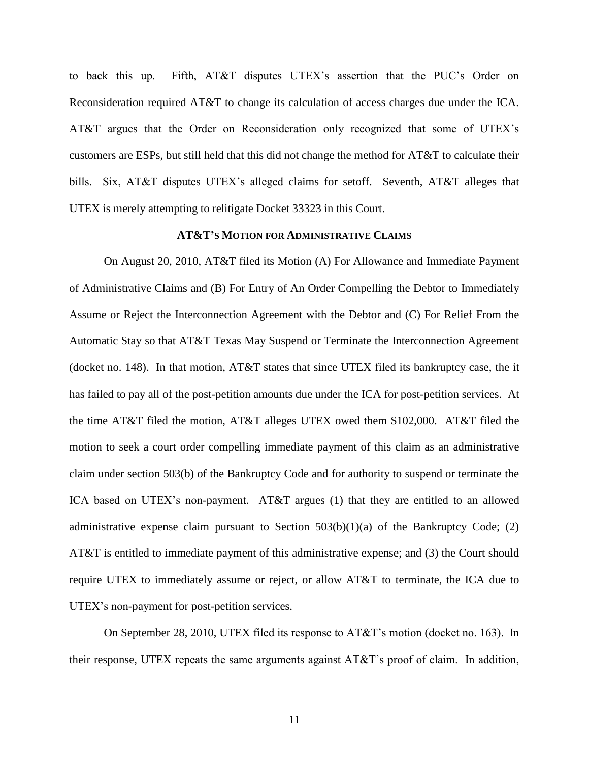to back this up. Fifth, AT&T disputes UTEX's assertion that the PUC's Order on Reconsideration required AT&T to change its calculation of access charges due under the ICA. AT&T argues that the Order on Reconsideration only recognized that some of UTEX's customers are ESPs, but still held that this did not change the method for AT&T to calculate their bills. Six, AT&T disputes UTEX's alleged claims for setoff. Seventh, AT&T alleges that UTEX is merely attempting to relitigate Docket 33323 in this Court.

### **AT&T'S MOTION FOR ADMINISTRATIVE CLAIMS**

On August 20, 2010, AT&T filed its Motion (A) For Allowance and Immediate Payment of Administrative Claims and (B) For Entry of An Order Compelling the Debtor to Immediately Assume or Reject the Interconnection Agreement with the Debtor and (C) For Relief From the Automatic Stay so that AT&T Texas May Suspend or Terminate the Interconnection Agreement (docket no. 148). In that motion, AT&T states that since UTEX filed its bankruptcy case, the it has failed to pay all of the post-petition amounts due under the ICA for post-petition services. At the time AT&T filed the motion, AT&T alleges UTEX owed them \$102,000. AT&T filed the motion to seek a court order compelling immediate payment of this claim as an administrative claim under section 503(b) of the Bankruptcy Code and for authority to suspend or terminate the ICA based on UTEX's non-payment. AT&T argues (1) that they are entitled to an allowed administrative expense claim pursuant to Section  $503(b)(1)(a)$  of the Bankruptcy Code; (2) AT&T is entitled to immediate payment of this administrative expense; and (3) the Court should require UTEX to immediately assume or reject, or allow AT&T to terminate, the ICA due to UTEX's non-payment for post-petition services.

On September 28, 2010, UTEX filed its response to AT&T's motion (docket no. 163). In their response, UTEX repeats the same arguments against AT&T's proof of claim. In addition,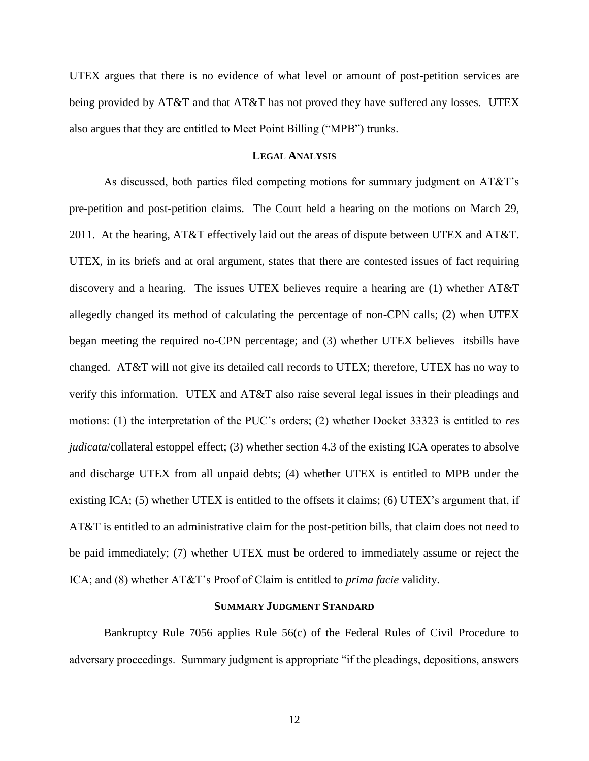UTEX argues that there is no evidence of what level or amount of post-petition services are being provided by AT&T and that AT&T has not proved they have suffered any losses. UTEX also argues that they are entitled to Meet Point Billing ("MPB") trunks.

## **LEGAL ANALYSIS**

As discussed, both parties filed competing motions for summary judgment on AT&T's pre-petition and post-petition claims. The Court held a hearing on the motions on March 29, 2011. At the hearing, AT&T effectively laid out the areas of dispute between UTEX and AT&T. UTEX, in its briefs and at oral argument, states that there are contested issues of fact requiring discovery and a hearing. The issues UTEX believes require a hearing are (1) whether AT&T allegedly changed its method of calculating the percentage of non-CPN calls; (2) when UTEX began meeting the required no-CPN percentage; and (3) whether UTEX believes itsbills have changed. AT&T will not give its detailed call records to UTEX; therefore, UTEX has no way to verify this information. UTEX and AT&T also raise several legal issues in their pleadings and motions: (1) the interpretation of the PUC's orders; (2) whether Docket 33323 is entitled to *res judicata*/collateral estoppel effect; (3) whether section 4.3 of the existing ICA operates to absolve and discharge UTEX from all unpaid debts; (4) whether UTEX is entitled to MPB under the existing ICA; (5) whether UTEX is entitled to the offsets it claims; (6) UTEX's argument that, if AT&T is entitled to an administrative claim for the post-petition bills, that claim does not need to be paid immediately; (7) whether UTEX must be ordered to immediately assume or reject the ICA; and (8) whether AT&T's Proof of Claim is entitled to *prima facie* validity.

#### **SUMMARY JUDGMENT STANDARD**

Bankruptcy Rule 7056 applies Rule 56(c) of the Federal Rules of Civil Procedure to adversary proceedings. Summary judgment is appropriate "if the pleadings, depositions, answers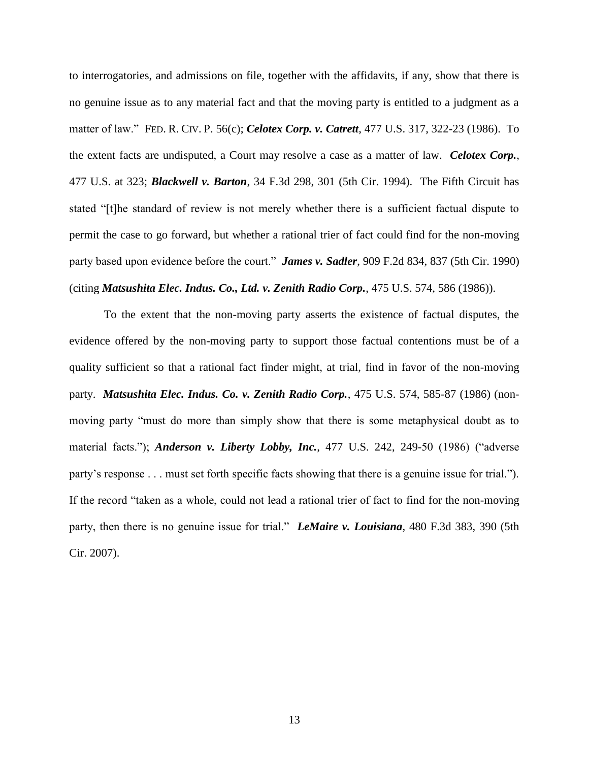to interrogatories, and admissions on file, together with the affidavits, if any, show that there is no genuine issue as to any material fact and that the moving party is entitled to a judgment as a matter of law.‖ FED. R. CIV. P. 56(c); *Celotex Corp. v. Catrett*, 477 U.S. 317, 322-23 (1986). To the extent facts are undisputed, a Court may resolve a case as a matter of law. *Celotex Corp.*, 477 U.S. at 323; *Blackwell v. Barton*, 34 F.3d 298, 301 (5th Cir. 1994). The Fifth Circuit has stated "[t]he standard of review is not merely whether there is a sufficient factual dispute to permit the case to go forward, but whether a rational trier of fact could find for the non-moving party based upon evidence before the court." *James v. Sadler*, 909 F.2d 834, 837 (5th Cir. 1990) (citing *Matsushita Elec. Indus. Co., Ltd. v. Zenith Radio Corp.*, 475 U.S. 574, 586 (1986)).

To the extent that the non-moving party asserts the existence of factual disputes, the evidence offered by the non-moving party to support those factual contentions must be of a quality sufficient so that a rational fact finder might, at trial, find in favor of the non-moving party. *Matsushita Elec. Indus. Co. v. Zenith Radio Corp.*, 475 U.S. 574, 585-87 (1986) (nonmoving party "must do more than simply show that there is some metaphysical doubt as to material facts."); *Anderson v. Liberty Lobby, Inc.*, 477 U.S. 242, 249-50 (1986) ("adverse party's response . . . must set forth specific facts showing that there is a genuine issue for trial."). If the record "taken as a whole, could not lead a rational trier of fact to find for the non-moving party, then there is no genuine issue for trial." *LeMaire v. Louisiana*, 480 F.3d 383, 390 (5th Cir. 2007).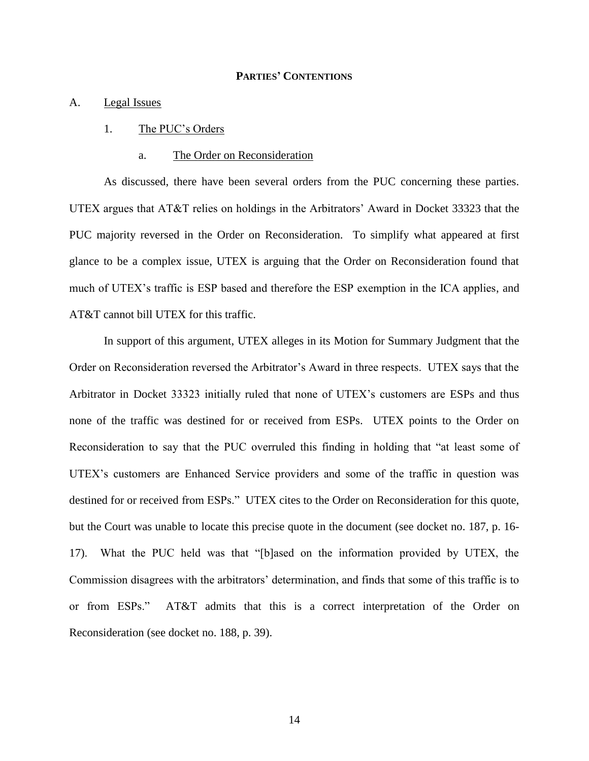### **PARTIES' CONTENTIONS**

#### A. Legal Issues

# 1. The PUC's Orders

#### a. The Order on Reconsideration

As discussed, there have been several orders from the PUC concerning these parties. UTEX argues that AT&T relies on holdings in the Arbitrators' Award in Docket 33323 that the PUC majority reversed in the Order on Reconsideration. To simplify what appeared at first glance to be a complex issue, UTEX is arguing that the Order on Reconsideration found that much of UTEX's traffic is ESP based and therefore the ESP exemption in the ICA applies, and AT&T cannot bill UTEX for this traffic.

In support of this argument, UTEX alleges in its Motion for Summary Judgment that the Order on Reconsideration reversed the Arbitrator's Award in three respects. UTEX says that the Arbitrator in Docket 33323 initially ruled that none of UTEX's customers are ESPs and thus none of the traffic was destined for or received from ESPs. UTEX points to the Order on Reconsideration to say that the PUC overruled this finding in holding that "at least some of UTEX's customers are Enhanced Service providers and some of the traffic in question was destined for or received from ESPs." UTEX cites to the Order on Reconsideration for this quote, but the Court was unable to locate this precise quote in the document (see docket no. 187, p. 16- 17). What the PUC held was that "[b]ased on the information provided by UTEX, the Commission disagrees with the arbitrators' determination, and finds that some of this traffic is to or from ESPs." AT&T admits that this is a correct interpretation of the Order on Reconsideration (see docket no. 188, p. 39).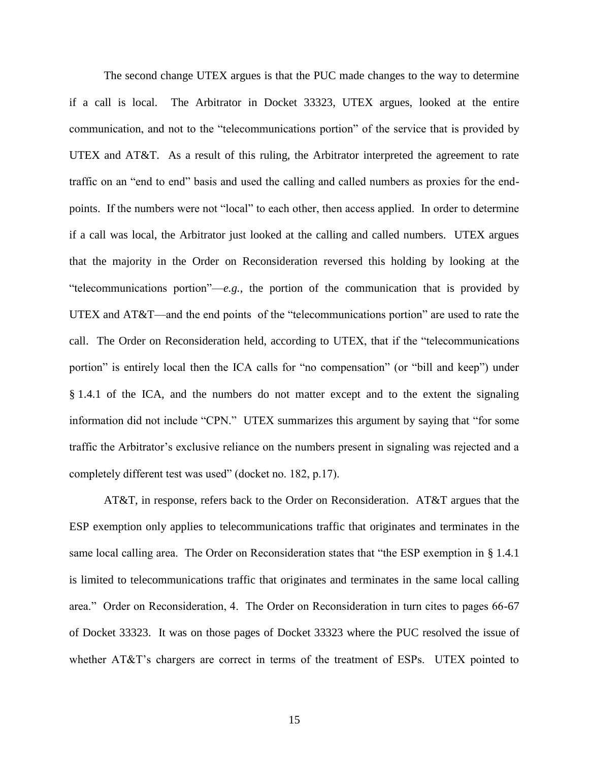The second change UTEX argues is that the PUC made changes to the way to determine if a call is local. The Arbitrator in Docket 33323, UTEX argues, looked at the entire communication, and not to the "telecommunications portion" of the service that is provided by UTEX and AT&T. As a result of this ruling, the Arbitrator interpreted the agreement to rate traffic on an "end to end" basis and used the calling and called numbers as proxies for the endpoints. If the numbers were not "local" to each other, then access applied. In order to determine if a call was local, the Arbitrator just looked at the calling and called numbers. UTEX argues that the majority in the Order on Reconsideration reversed this holding by looking at the "telecommunications portion"—*e.g.*, the portion of the communication that is provided by UTEX and  $AT&T$ —and the end points of the "telecommunications portion" are used to rate the call. The Order on Reconsideration held, according to UTEX, that if the "telecommunications" portion" is entirely local then the ICA calls for "no compensation" (or "bill and keep") under § 1.4.1 of the ICA, and the numbers do not matter except and to the extent the signaling information did not include "CPN." UTEX summarizes this argument by saying that "for some traffic the Arbitrator's exclusive reliance on the numbers present in signaling was rejected and a completely different test was used" (docket no. 182, p.17).

AT&T, in response, refers back to the Order on Reconsideration. AT&T argues that the ESP exemption only applies to telecommunications traffic that originates and terminates in the same local calling area. The Order on Reconsideration states that "the ESP exemption in § 1.4.1 is limited to telecommunications traffic that originates and terminates in the same local calling area.‖ Order on Reconsideration, 4. The Order on Reconsideration in turn cites to pages 66-67 of Docket 33323. It was on those pages of Docket 33323 where the PUC resolved the issue of whether AT&T's chargers are correct in terms of the treatment of ESPs. UTEX pointed to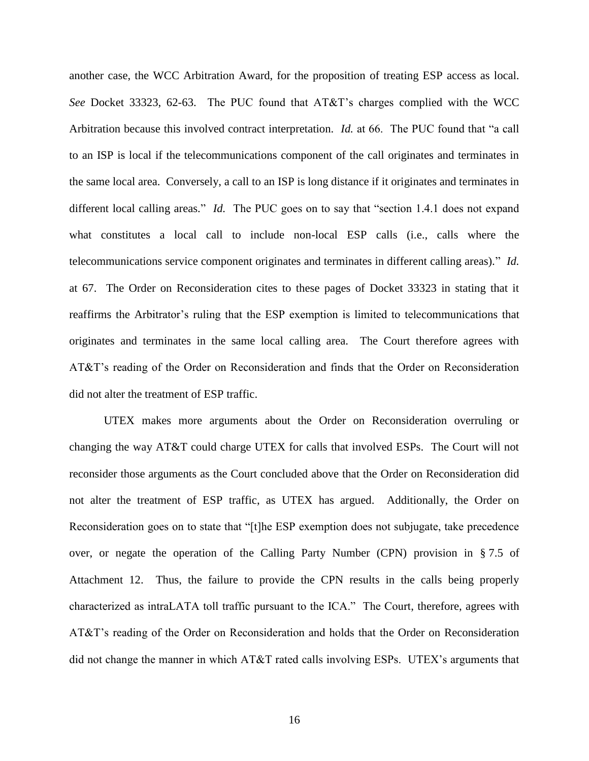another case, the WCC Arbitration Award, for the proposition of treating ESP access as local. *See* Docket 33323, 62-63. The PUC found that AT&T's charges complied with the WCC Arbitration because this involved contract interpretation. *Id.* at 66. The PUC found that "a call to an ISP is local if the telecommunications component of the call originates and terminates in the same local area. Conversely, a call to an ISP is long distance if it originates and terminates in different local calling areas." *Id.* The PUC goes on to say that "section 1.4.1 does not expand what constitutes a local call to include non-local ESP calls (i.e., calls where the telecommunications service component originates and terminates in different calling areas).‖ *Id.* at 67. The Order on Reconsideration cites to these pages of Docket 33323 in stating that it reaffirms the Arbitrator's ruling that the ESP exemption is limited to telecommunications that originates and terminates in the same local calling area. The Court therefore agrees with AT&T's reading of the Order on Reconsideration and finds that the Order on Reconsideration did not alter the treatment of ESP traffic.

UTEX makes more arguments about the Order on Reconsideration overruling or changing the way AT&T could charge UTEX for calls that involved ESPs. The Court will not reconsider those arguments as the Court concluded above that the Order on Reconsideration did not alter the treatment of ESP traffic, as UTEX has argued. Additionally, the Order on Reconsideration goes on to state that "[t]he ESP exemption does not subjugate, take precedence over, or negate the operation of the Calling Party Number (CPN) provision in § 7.5 of Attachment 12. Thus, the failure to provide the CPN results in the calls being properly characterized as intraLATA toll traffic pursuant to the ICA." The Court, therefore, agrees with AT&T's reading of the Order on Reconsideration and holds that the Order on Reconsideration did not change the manner in which AT&T rated calls involving ESPs. UTEX's arguments that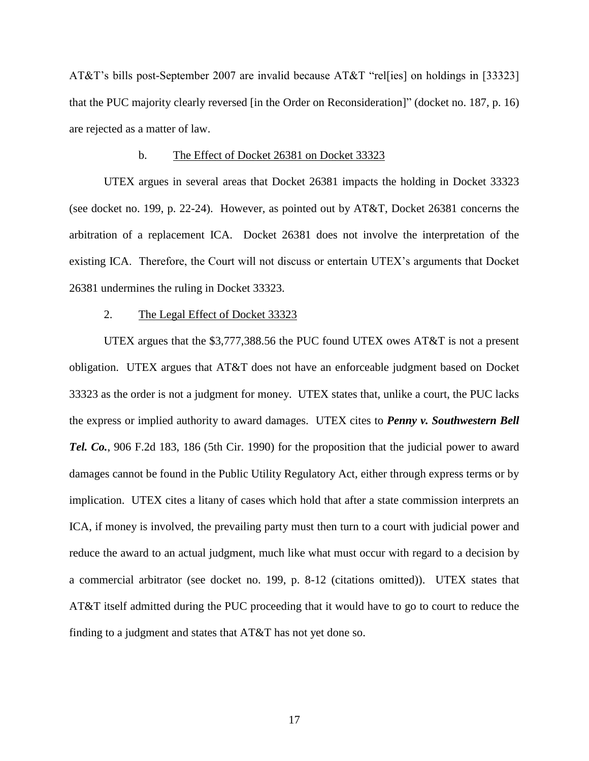AT&T's bills post-September 2007 are invalid because AT&T "rel[ies] on holdings in [33323] that the PUC majority clearly reversed [in the Order on Reconsideration]" (docket no. 187, p. 16) are rejected as a matter of law.

### b. The Effect of Docket 26381 on Docket 33323

UTEX argues in several areas that Docket 26381 impacts the holding in Docket 33323 (see docket no. 199, p. 22-24). However, as pointed out by AT&T, Docket 26381 concerns the arbitration of a replacement ICA. Docket 26381 does not involve the interpretation of the existing ICA. Therefore, the Court will not discuss or entertain UTEX's arguments that Docket 26381 undermines the ruling in Docket 33323.

### 2. The Legal Effect of Docket 33323

UTEX argues that the \$3,777,388.56 the PUC found UTEX owes AT&T is not a present obligation. UTEX argues that AT&T does not have an enforceable judgment based on Docket 33323 as the order is not a judgment for money. UTEX states that, unlike a court, the PUC lacks the express or implied authority to award damages. UTEX cites to *Penny v. Southwestern Bell Tel. Co.*, 906 F.2d 183, 186 (5th Cir. 1990) for the proposition that the judicial power to award damages cannot be found in the Public Utility Regulatory Act, either through express terms or by implication. UTEX cites a litany of cases which hold that after a state commission interprets an ICA, if money is involved, the prevailing party must then turn to a court with judicial power and reduce the award to an actual judgment, much like what must occur with regard to a decision by a commercial arbitrator (see docket no. 199, p. 8-12 (citations omitted)). UTEX states that AT&T itself admitted during the PUC proceeding that it would have to go to court to reduce the finding to a judgment and states that AT&T has not yet done so.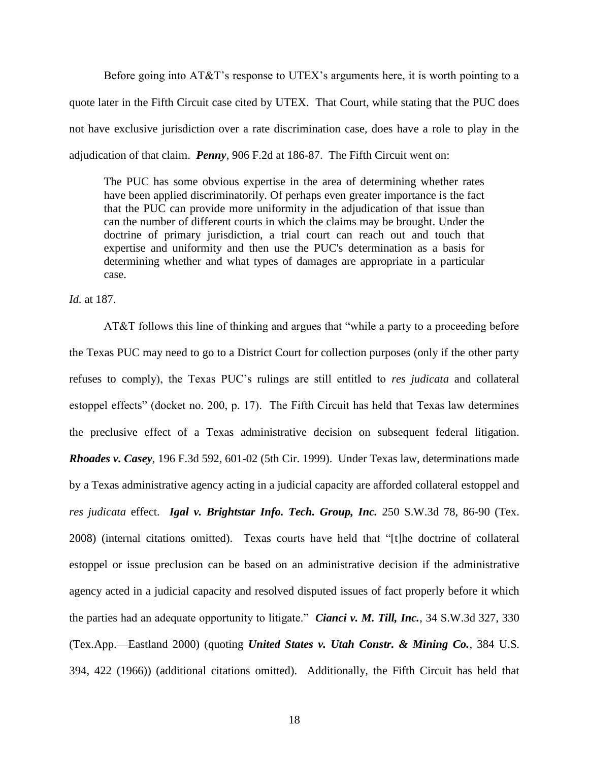Before going into AT&T's response to UTEX's arguments here, it is worth pointing to a quote later in the Fifth Circuit case cited by UTEX. That Court, while stating that the PUC does not have exclusive jurisdiction over a rate discrimination case, does have a role to play in the adjudication of that claim. *Penny*, 906 F.2d at 186-87. The Fifth Circuit went on:

The PUC has some obvious expertise in the area of determining whether rates have been applied discriminatorily. Of perhaps even greater importance is the fact that the PUC can provide more uniformity in the adjudication of that issue than can the number of different courts in which the claims may be brought. Under the doctrine of primary jurisdiction, a trial court can reach out and touch that expertise and uniformity and then use the PUC's determination as a basis for determining whether and what types of damages are appropriate in a particular case.

*Id.* at 187.

AT&T follows this line of thinking and argues that "while a party to a proceeding before the Texas PUC may need to go to a District Court for collection purposes (only if the other party refuses to comply), the Texas PUC's rulings are still entitled to *res judicata* and collateral estoppel effects" (docket no. 200, p. 17). The Fifth Circuit has held that Texas law determines the preclusive effect of a Texas administrative decision on subsequent federal litigation. *Rhoades v. Casey*, 196 F.3d 592, 601-02 (5th Cir. 1999). Under Texas law, determinations made by a Texas administrative agency acting in a judicial capacity are afforded collateral estoppel and *res judicata* effect. *Igal v. Brightstar Info. Tech. Group, Inc.* 250 S.W.3d 78, 86-90 (Tex. 2008) (internal citations omitted). Texas courts have held that "[t]he doctrine of collateral estoppel or issue preclusion can be based on an administrative decision if the administrative agency acted in a judicial capacity and resolved disputed issues of fact properly before it which the parties had an adequate opportunity to litigate." *Cianci v. M. Till, Inc.*, 34 S.W.3d 327, 330 (Tex.App.—Eastland 2000) (quoting *United States v. Utah Constr. & Mining Co.*, 384 U.S. 394, 422 (1966)) (additional citations omitted). Additionally, the Fifth Circuit has held that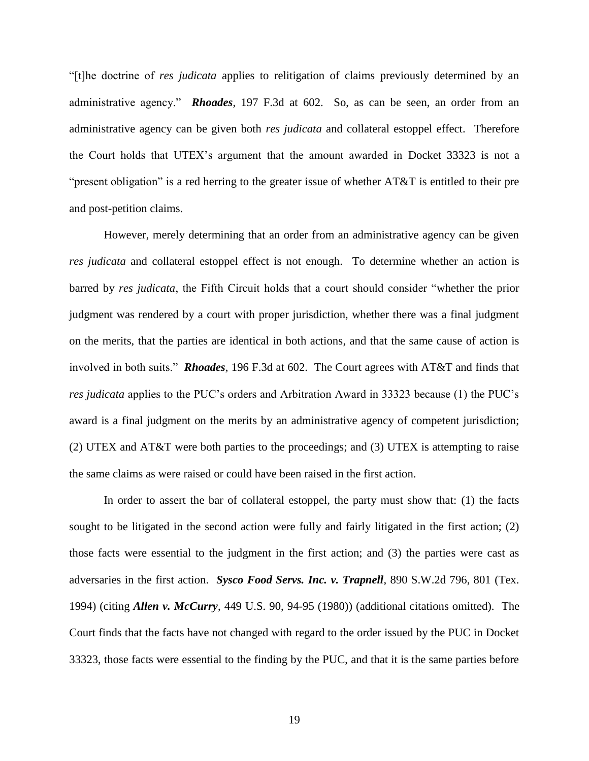―[t]he doctrine of *res judicata* applies to relitigation of claims previously determined by an administrative agency.‖ *Rhoades*, 197 F.3d at 602. So, as can be seen, an order from an administrative agency can be given both *res judicata* and collateral estoppel effect. Therefore the Court holds that UTEX's argument that the amount awarded in Docket 33323 is not a "present obligation" is a red herring to the greater issue of whether  $AT&T$  is entitled to their pre and post-petition claims.

However, merely determining that an order from an administrative agency can be given *res judicata* and collateral estoppel effect is not enough. To determine whether an action is barred by *res judicata*, the Fifth Circuit holds that a court should consider "whether the prior judgment was rendered by a court with proper jurisdiction, whether there was a final judgment on the merits, that the parties are identical in both actions, and that the same cause of action is involved in both suits." **Rhoades**, 196 F.3d at 602. The Court agrees with AT&T and finds that *res judicata* applies to the PUC's orders and Arbitration Award in 33323 because (1) the PUC's award is a final judgment on the merits by an administrative agency of competent jurisdiction; (2) UTEX and AT&T were both parties to the proceedings; and (3) UTEX is attempting to raise the same claims as were raised or could have been raised in the first action.

In order to assert the bar of collateral estoppel, the party must show that: (1) the facts sought to be litigated in the second action were fully and fairly litigated in the first action; (2) those facts were essential to the judgment in the first action; and (3) the parties were cast as adversaries in the first action. *Sysco Food Servs. Inc. v. Trapnell*, 890 S.W.2d 796, 801 (Tex. 1994) (citing *Allen v. McCurry*, 449 U.S. 90, 94-95 (1980)) (additional citations omitted). The Court finds that the facts have not changed with regard to the order issued by the PUC in Docket 33323, those facts were essential to the finding by the PUC, and that it is the same parties before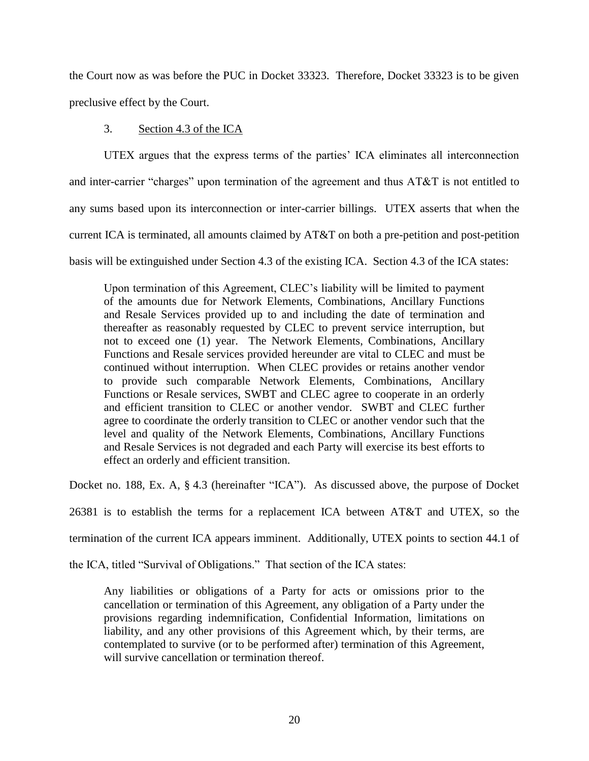the Court now as was before the PUC in Docket 33323. Therefore, Docket 33323 is to be given preclusive effect by the Court.

# 3. Section 4.3 of the ICA

UTEX argues that the express terms of the parties' ICA eliminates all interconnection and inter-carrier "charges" upon termination of the agreement and thus  $AT&T$  is not entitled to any sums based upon its interconnection or inter-carrier billings. UTEX asserts that when the current ICA is terminated, all amounts claimed by AT&T on both a pre-petition and post-petition basis will be extinguished under Section 4.3 of the existing ICA. Section 4.3 of the ICA states:

Upon termination of this Agreement, CLEC's liability will be limited to payment of the amounts due for Network Elements, Combinations, Ancillary Functions and Resale Services provided up to and including the date of termination and thereafter as reasonably requested by CLEC to prevent service interruption, but not to exceed one (1) year. The Network Elements, Combinations, Ancillary Functions and Resale services provided hereunder are vital to CLEC and must be continued without interruption. When CLEC provides or retains another vendor to provide such comparable Network Elements, Combinations, Ancillary Functions or Resale services, SWBT and CLEC agree to cooperate in an orderly and efficient transition to CLEC or another vendor. SWBT and CLEC further agree to coordinate the orderly transition to CLEC or another vendor such that the level and quality of the Network Elements, Combinations, Ancillary Functions and Resale Services is not degraded and each Party will exercise its best efforts to effect an orderly and efficient transition.

Docket no. 188, Ex. A, § 4.3 (hereinafter "ICA"). As discussed above, the purpose of Docket

26381 is to establish the terms for a replacement ICA between AT&T and UTEX, so the

termination of the current ICA appears imminent. Additionally, UTEX points to section 44.1 of

the ICA, titled "Survival of Obligations." That section of the ICA states:

Any liabilities or obligations of a Party for acts or omissions prior to the cancellation or termination of this Agreement, any obligation of a Party under the provisions regarding indemnification, Confidential Information, limitations on liability, and any other provisions of this Agreement which, by their terms, are contemplated to survive (or to be performed after) termination of this Agreement, will survive cancellation or termination thereof.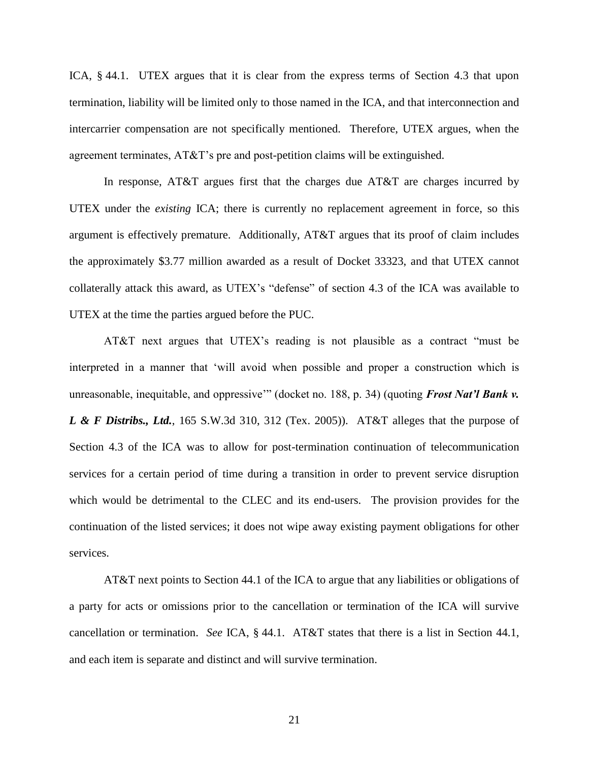ICA, § 44.1. UTEX argues that it is clear from the express terms of Section 4.3 that upon termination, liability will be limited only to those named in the ICA, and that interconnection and intercarrier compensation are not specifically mentioned. Therefore, UTEX argues, when the agreement terminates, AT&T's pre and post-petition claims will be extinguished.

In response, AT&T argues first that the charges due AT&T are charges incurred by UTEX under the *existing* ICA; there is currently no replacement agreement in force, so this argument is effectively premature. Additionally, AT&T argues that its proof of claim includes the approximately \$3.77 million awarded as a result of Docket 33323, and that UTEX cannot collaterally attack this award, as UTEX's "defense" of section 4.3 of the ICA was available to UTEX at the time the parties argued before the PUC.

AT&T next argues that UTEX's reading is not plausible as a contract "must be interpreted in a manner that 'will avoid when possible and proper a construction which is unreasonable, inequitable, and oppressive<sup>33</sup> (docket no. 188, p. 34) (quoting *Frost Nat'l Bank v. L & F Distribs., Ltd.*, 165 S.W.3d 310, 312 (Tex. 2005)). AT&T alleges that the purpose of Section 4.3 of the ICA was to allow for post-termination continuation of telecommunication services for a certain period of time during a transition in order to prevent service disruption which would be detrimental to the CLEC and its end-users. The provision provides for the continuation of the listed services; it does not wipe away existing payment obligations for other services.

AT&T next points to Section 44.1 of the ICA to argue that any liabilities or obligations of a party for acts or omissions prior to the cancellation or termination of the ICA will survive cancellation or termination. *See* ICA, § 44.1. AT&T states that there is a list in Section 44.1, and each item is separate and distinct and will survive termination.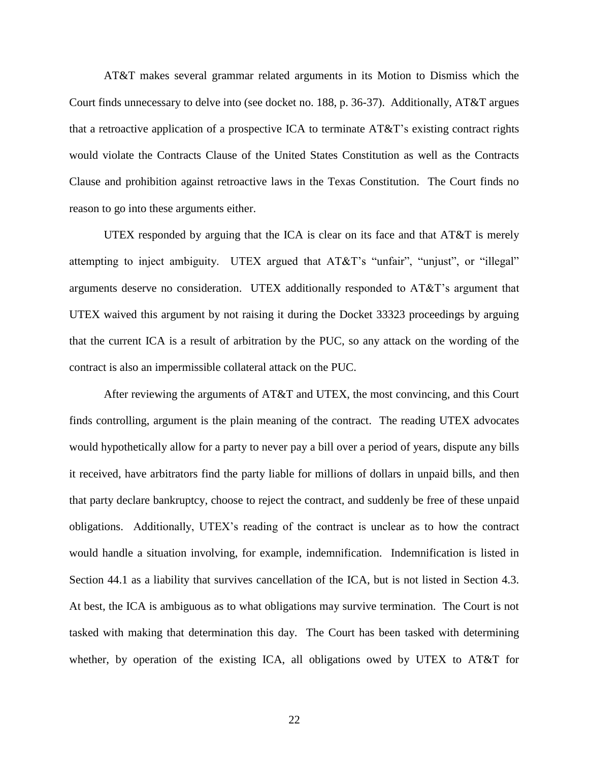AT&T makes several grammar related arguments in its Motion to Dismiss which the Court finds unnecessary to delve into (see docket no. 188, p. 36-37). Additionally, AT&T argues that a retroactive application of a prospective ICA to terminate AT&T's existing contract rights would violate the Contracts Clause of the United States Constitution as well as the Contracts Clause and prohibition against retroactive laws in the Texas Constitution. The Court finds no reason to go into these arguments either.

UTEX responded by arguing that the ICA is clear on its face and that AT&T is merely attempting to inject ambiguity. UTEX argued that  $AT&T$ 's "unfair", "unjust", or "illegal" arguments deserve no consideration. UTEX additionally responded to AT&T's argument that UTEX waived this argument by not raising it during the Docket 33323 proceedings by arguing that the current ICA is a result of arbitration by the PUC, so any attack on the wording of the contract is also an impermissible collateral attack on the PUC.

After reviewing the arguments of AT&T and UTEX, the most convincing, and this Court finds controlling, argument is the plain meaning of the contract. The reading UTEX advocates would hypothetically allow for a party to never pay a bill over a period of years, dispute any bills it received, have arbitrators find the party liable for millions of dollars in unpaid bills, and then that party declare bankruptcy, choose to reject the contract, and suddenly be free of these unpaid obligations. Additionally, UTEX's reading of the contract is unclear as to how the contract would handle a situation involving, for example, indemnification. Indemnification is listed in Section 44.1 as a liability that survives cancellation of the ICA, but is not listed in Section 4.3. At best, the ICA is ambiguous as to what obligations may survive termination. The Court is not tasked with making that determination this day. The Court has been tasked with determining whether, by operation of the existing ICA, all obligations owed by UTEX to AT&T for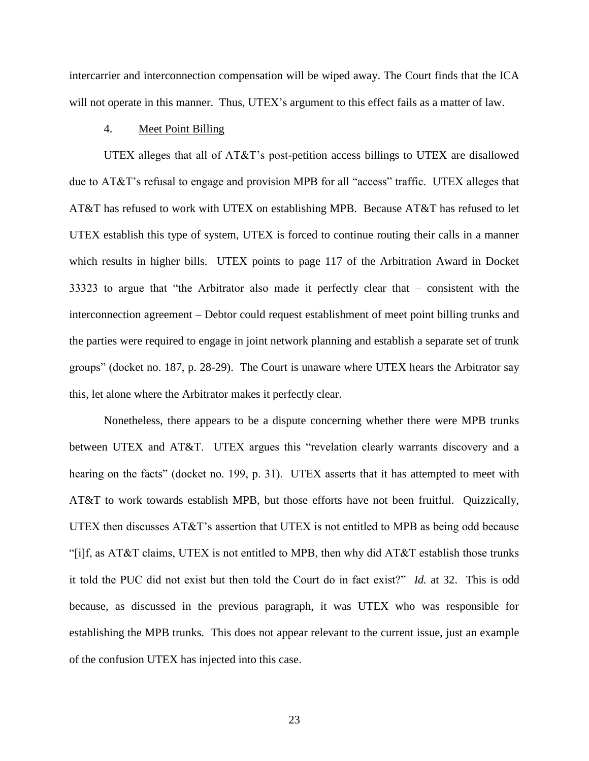intercarrier and interconnection compensation will be wiped away. The Court finds that the ICA will not operate in this manner. Thus, UTEX's argument to this effect fails as a matter of law.

# 4. Meet Point Billing

UTEX alleges that all of AT&T's post-petition access billings to UTEX are disallowed due to  $AT&T$ 's refusal to engage and provision MPB for all "access" traffic. UTEX alleges that AT&T has refused to work with UTEX on establishing MPB. Because AT&T has refused to let UTEX establish this type of system, UTEX is forced to continue routing their calls in a manner which results in higher bills. UTEX points to page 117 of the Arbitration Award in Docket  $33323$  to argue that "the Arbitrator also made it perfectly clear that – consistent with the interconnection agreement – Debtor could request establishment of meet point billing trunks and the parties were required to engage in joint network planning and establish a separate set of trunk groups" (docket no. 187, p. 28-29). The Court is unaware where UTEX hears the Arbitrator say this, let alone where the Arbitrator makes it perfectly clear.

Nonetheless, there appears to be a dispute concerning whether there were MPB trunks between UTEX and AT&T. UTEX argues this "revelation clearly warrants discovery and a hearing on the facts" (docket no. 199, p. 31). UTEX asserts that it has attempted to meet with AT&T to work towards establish MPB, but those efforts have not been fruitful. Quizzically, UTEX then discusses AT&T's assertion that UTEX is not entitled to MPB as being odd because "[i]f, as  $AT&T$  claims, UTEX is not entitled to MPB, then why did  $AT&T$  establish those trunks it told the PUC did not exist but then told the Court do in fact exist?" *Id.* at 32. This is odd because, as discussed in the previous paragraph, it was UTEX who was responsible for establishing the MPB trunks. This does not appear relevant to the current issue, just an example of the confusion UTEX has injected into this case.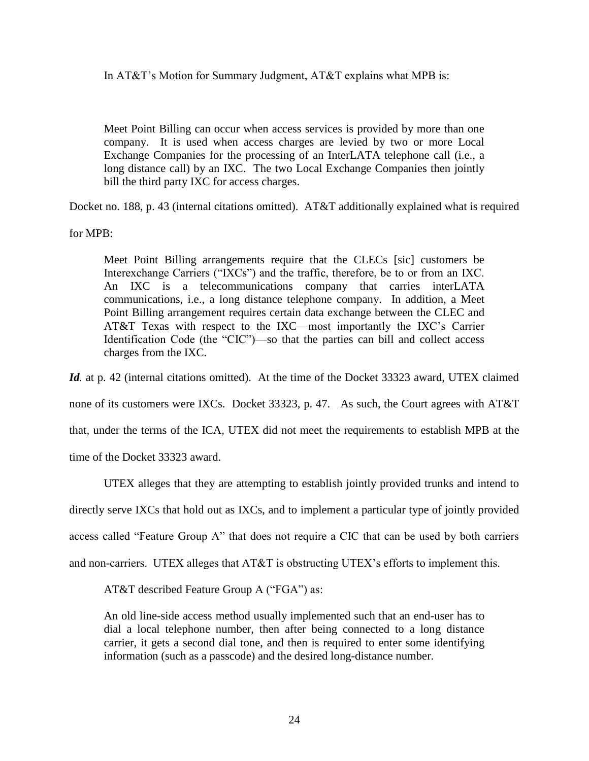In AT&T's Motion for Summary Judgment, AT&T explains what MPB is:

Meet Point Billing can occur when access services is provided by more than one company. It is used when access charges are levied by two or more Local Exchange Companies for the processing of an InterLATA telephone call (i.e., a long distance call) by an IXC. The two Local Exchange Companies then jointly bill the third party IXC for access charges.

Docket no. 188, p. 43 (internal citations omitted). AT&T additionally explained what is required

for MPB:

Meet Point Billing arrangements require that the CLECs [sic] customers be Interexchange Carriers ("IXCs") and the traffic, therefore, be to or from an IXC. An IXC is a telecommunications company that carries interLATA communications, i.e., a long distance telephone company. In addition, a Meet Point Billing arrangement requires certain data exchange between the CLEC and AT&T Texas with respect to the IXC—most importantly the IXC's Carrier Identification Code (the "CIC")—so that the parties can bill and collect access charges from the IXC.

*Id.* at p. 42 (internal citations omitted). At the time of the Docket 33323 award, UTEX claimed none of its customers were IXCs. Docket 33323, p. 47. As such, the Court agrees with AT&T that, under the terms of the ICA, UTEX did not meet the requirements to establish MPB at the time of the Docket 33323 award.

UTEX alleges that they are attempting to establish jointly provided trunks and intend to directly serve IXCs that hold out as IXCs, and to implement a particular type of jointly provided access called "Feature Group A" that does not require a CIC that can be used by both carriers and non-carriers. UTEX alleges that AT&T is obstructing UTEX's efforts to implement this.

 $AT&T$  described Feature Group A ("FGA") as:

An old line-side access method usually implemented such that an end-user has to dial a local telephone number, then after being connected to a long distance carrier, it gets a second dial tone, and then is required to enter some identifying information (such as a passcode) and the desired long-distance number.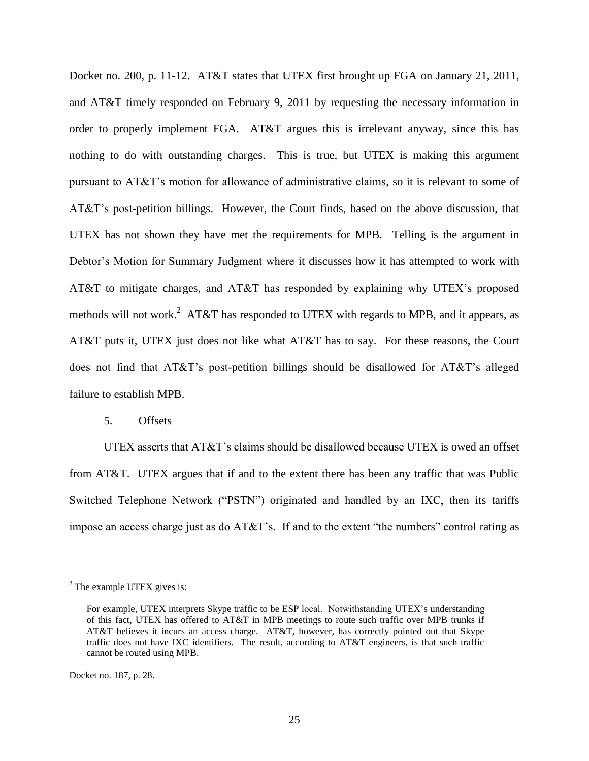Docket no. 200, p. 11-12. AT&T states that UTEX first brought up FGA on January 21, 2011, and AT&T timely responded on February 9, 2011 by requesting the necessary information in order to properly implement FGA. AT&T argues this is irrelevant anyway, since this has nothing to do with outstanding charges. This is true, but UTEX is making this argument pursuant to AT&T's motion for allowance of administrative claims, so it is relevant to some of AT&T's post-petition billings. However, the Court finds, based on the above discussion, that UTEX has not shown they have met the requirements for MPB. Telling is the argument in Debtor's Motion for Summary Judgment where it discusses how it has attempted to work with AT&T to mitigate charges, and AT&T has responded by explaining why UTEX's proposed methods will not work.<sup>2</sup> AT&T has responded to UTEX with regards to MPB, and it appears, as AT&T puts it, UTEX just does not like what AT&T has to say. For these reasons, the Court does not find that AT&T's post-petition billings should be disallowed for AT&T's alleged failure to establish MPB.

## 5. Offsets

UTEX asserts that AT&T's claims should be disallowed because UTEX is owed an offset from AT&T. UTEX argues that if and to the extent there has been any traffic that was Public Switched Telephone Network ("PSTN") originated and handled by an IXC, then its tariffs impose an access charge just as do  $AT&T$ 's. If and to the extent "the numbers" control rating as

<sup>&</sup>lt;sup>2</sup> The example UTEX gives is:

For example, UTEX interprets Skype traffic to be ESP local. Notwithstanding UTEX's understanding of this fact, UTEX has offered to AT&T in MPB meetings to route such traffic over MPB trunks if AT&T believes it incurs an access charge. AT&T, however, has correctly pointed out that Skype traffic does not have IXC identifiers. The result, according to AT&T engineers, is that such traffic cannot be routed using MPB.

Docket no. 187, p. 28.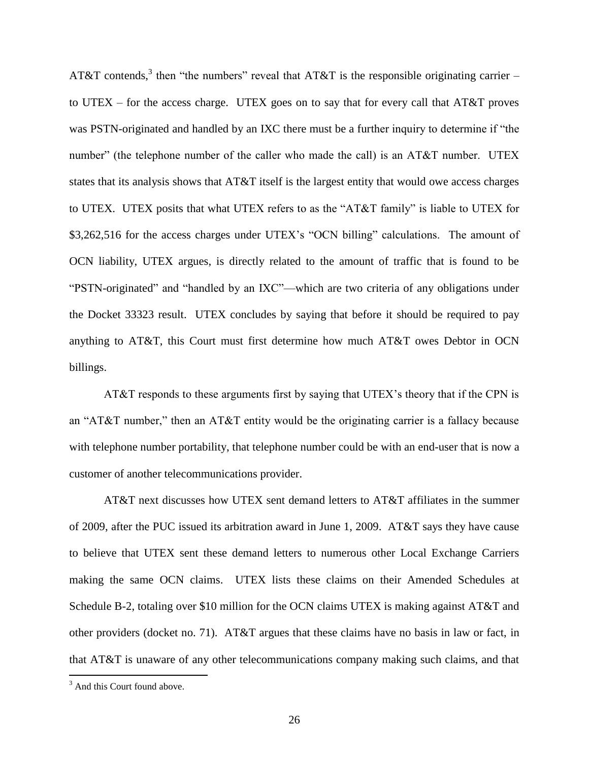AT&T contends,<sup>3</sup> then "the numbers" reveal that AT&T is the responsible originating carrier – to UTEX – for the access charge. UTEX goes on to say that for every call that AT&T proves was PSTN-originated and handled by an IXC there must be a further inquiry to determine if "the number" (the telephone number of the caller who made the call) is an  $AT&AT$  number. UTEX states that its analysis shows that AT&T itself is the largest entity that would owe access charges to UTEX. UTEX posits that what UTEX refers to as the "AT&T family" is liable to UTEX for \$3,262,516 for the access charges under UTEX's "OCN billing" calculations. The amount of OCN liability, UTEX argues, is directly related to the amount of traffic that is found to be "PSTN-originated" and "handled by an IXC"—which are two criteria of any obligations under the Docket 33323 result. UTEX concludes by saying that before it should be required to pay anything to AT&T, this Court must first determine how much AT&T owes Debtor in OCN billings.

AT&T responds to these arguments first by saying that UTEX's theory that if the CPN is an "AT&T number," then an AT&T entity would be the originating carrier is a fallacy because with telephone number portability, that telephone number could be with an end-user that is now a customer of another telecommunications provider.

AT&T next discusses how UTEX sent demand letters to AT&T affiliates in the summer of 2009, after the PUC issued its arbitration award in June 1, 2009. AT&T says they have cause to believe that UTEX sent these demand letters to numerous other Local Exchange Carriers making the same OCN claims. UTEX lists these claims on their Amended Schedules at Schedule B-2, totaling over \$10 million for the OCN claims UTEX is making against AT&T and other providers (docket no. 71). AT&T argues that these claims have no basis in law or fact, in that AT&T is unaware of any other telecommunications company making such claims, and that

 $3$  And this Court found above.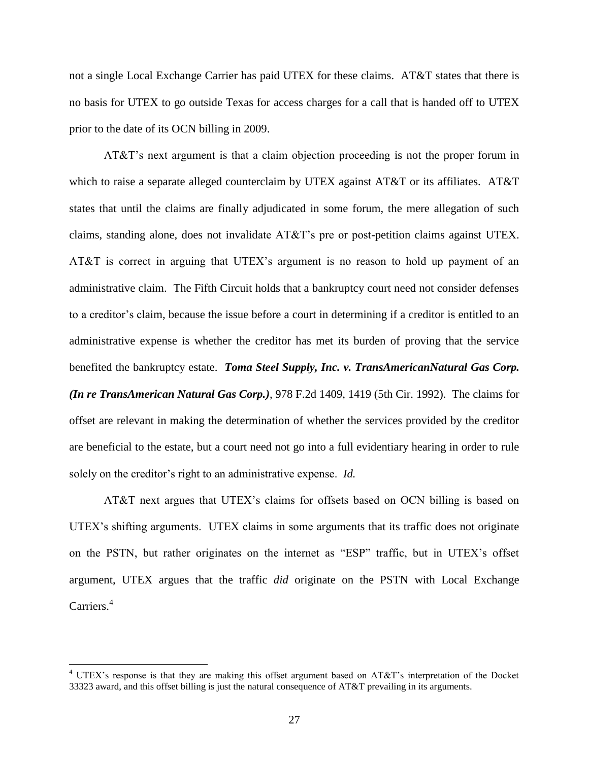not a single Local Exchange Carrier has paid UTEX for these claims. AT&T states that there is no basis for UTEX to go outside Texas for access charges for a call that is handed off to UTEX prior to the date of its OCN billing in 2009.

AT&T's next argument is that a claim objection proceeding is not the proper forum in which to raise a separate alleged counterclaim by UTEX against AT&T or its affiliates. AT&T states that until the claims are finally adjudicated in some forum, the mere allegation of such claims, standing alone, does not invalidate AT&T's pre or post-petition claims against UTEX. AT&T is correct in arguing that UTEX's argument is no reason to hold up payment of an administrative claim. The Fifth Circuit holds that a bankruptcy court need not consider defenses to a creditor's claim, because the issue before a court in determining if a creditor is entitled to an administrative expense is whether the creditor has met its burden of proving that the service benefited the bankruptcy estate. *Toma Steel Supply, Inc. v. TransAmericanNatural Gas Corp. (In re TransAmerican Natural Gas Corp.)*, 978 F.2d 1409, 1419 (5th Cir. 1992). The claims for offset are relevant in making the determination of whether the services provided by the creditor are beneficial to the estate, but a court need not go into a full evidentiary hearing in order to rule solely on the creditor's right to an administrative expense. *Id.*

AT&T next argues that UTEX's claims for offsets based on OCN billing is based on UTEX's shifting arguments. UTEX claims in some arguments that its traffic does not originate on the PSTN, but rather originates on the internet as "ESP" traffic, but in UTEX's offset argument, UTEX argues that the traffic *did* originate on the PSTN with Local Exchange Carriers.<sup>4</sup>

<sup>4</sup> UTEX's response is that they are making this offset argument based on AT&T's interpretation of the Docket 33323 award, and this offset billing is just the natural consequence of AT&T prevailing in its arguments.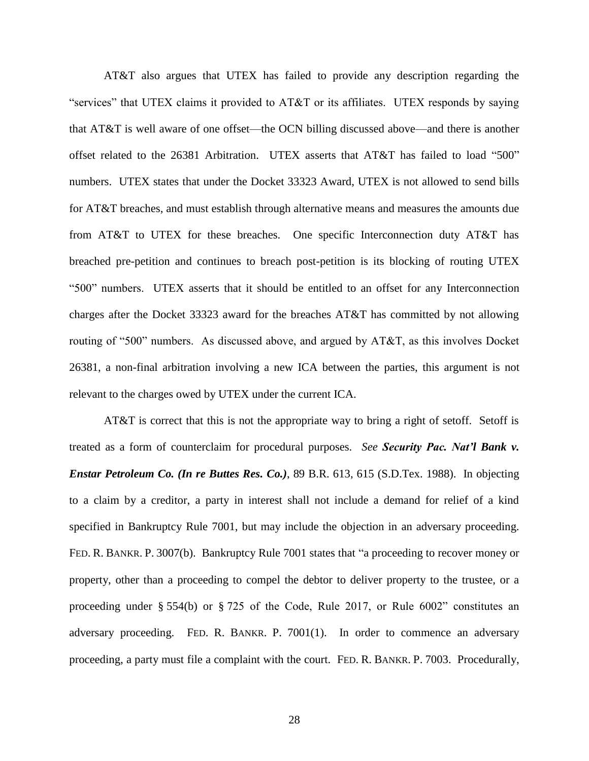AT&T also argues that UTEX has failed to provide any description regarding the "services" that UTEX claims it provided to AT&T or its affiliates. UTEX responds by saying that AT&T is well aware of one offset—the OCN billing discussed above—and there is another offset related to the 26381 Arbitration. UTEX asserts that AT&T has failed to load "500" numbers. UTEX states that under the Docket 33323 Award, UTEX is not allowed to send bills for AT&T breaches, and must establish through alternative means and measures the amounts due from AT&T to UTEX for these breaches. One specific Interconnection duty AT&T has breached pre-petition and continues to breach post-petition is its blocking of routing UTEX ―500‖ numbers. UTEX asserts that it should be entitled to an offset for any Interconnection charges after the Docket 33323 award for the breaches AT&T has committed by not allowing routing of "500" numbers. As discussed above, and argued by  $AT&T$ , as this involves Docket 26381, a non-final arbitration involving a new ICA between the parties, this argument is not relevant to the charges owed by UTEX under the current ICA.

AT&T is correct that this is not the appropriate way to bring a right of setoff. Setoff is treated as a form of counterclaim for procedural purposes. *See Security Pac. Nat'l Bank v. Enstar Petroleum Co. (In re Buttes Res. Co.)*, 89 B.R. 613, 615 (S.D.Tex. 1988). In objecting to a claim by a creditor, a party in interest shall not include a demand for relief of a kind specified in Bankruptcy Rule 7001, but may include the objection in an adversary proceeding. FED. R. BANKR. P. 3007(b). Bankruptcy Rule 7001 states that "a proceeding to recover money or property, other than a proceeding to compel the debtor to deliver property to the trustee, or a proceeding under  $\S 554(b)$  or  $\S 725$  of the Code, Rule 2017, or Rule 6002" constitutes an adversary proceeding. FED. R. BANKR. P. 7001(1). In order to commence an adversary proceeding, a party must file a complaint with the court. FED. R. BANKR. P. 7003. Procedurally,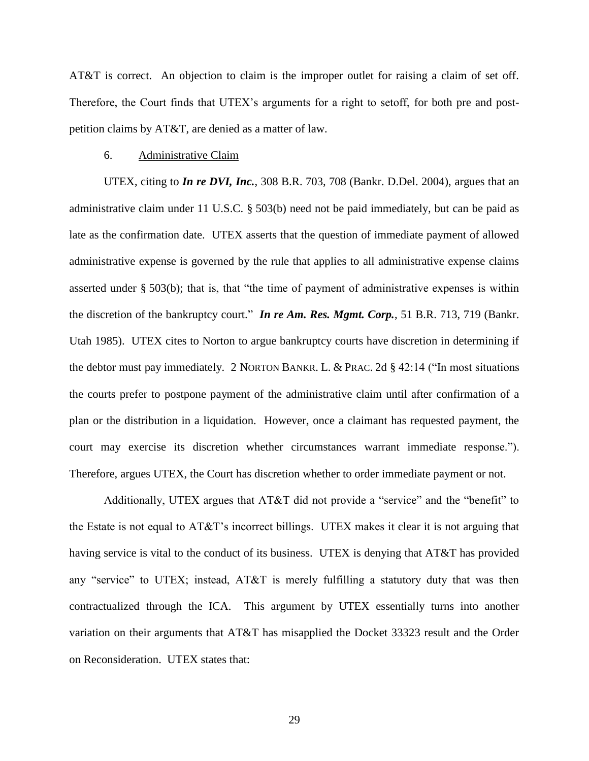AT&T is correct. An objection to claim is the improper outlet for raising a claim of set off. Therefore, the Court finds that UTEX's arguments for a right to setoff, for both pre and postpetition claims by AT&T, are denied as a matter of law.

#### 6. Administrative Claim

UTEX, citing to *In re DVI, Inc.*, 308 B.R. 703, 708 (Bankr. D.Del. 2004), argues that an administrative claim under 11 U.S.C. § 503(b) need not be paid immediately, but can be paid as late as the confirmation date. UTEX asserts that the question of immediate payment of allowed administrative expense is governed by the rule that applies to all administrative expense claims asserted under  $\S$  503(b); that is, that "the time of payment of administrative expenses is within the discretion of the bankruptcy court." *In re Am. Res. Mgmt. Corp.*, 51 B.R. 713, 719 (Bankr. Utah 1985). UTEX cites to Norton to argue bankruptcy courts have discretion in determining if the debtor must pay immediately. 2 NORTON BANKR. L. & PRAC. 2d  $\S$  42:14 ("In most situations the courts prefer to postpone payment of the administrative claim until after confirmation of a plan or the distribution in a liquidation. However, once a claimant has requested payment, the court may exercise its discretion whether circumstances warrant immediate response."). Therefore, argues UTEX, the Court has discretion whether to order immediate payment or not.

Additionally, UTEX argues that  $AT&T$  did not provide a "service" and the "benefit" to the Estate is not equal to AT&T's incorrect billings. UTEX makes it clear it is not arguing that having service is vital to the conduct of its business. UTEX is denying that AT&T has provided any "service" to UTEX; instead,  $AT&T$  is merely fulfilling a statutory duty that was then contractualized through the ICA. This argument by UTEX essentially turns into another variation on their arguments that AT&T has misapplied the Docket 33323 result and the Order on Reconsideration. UTEX states that:

29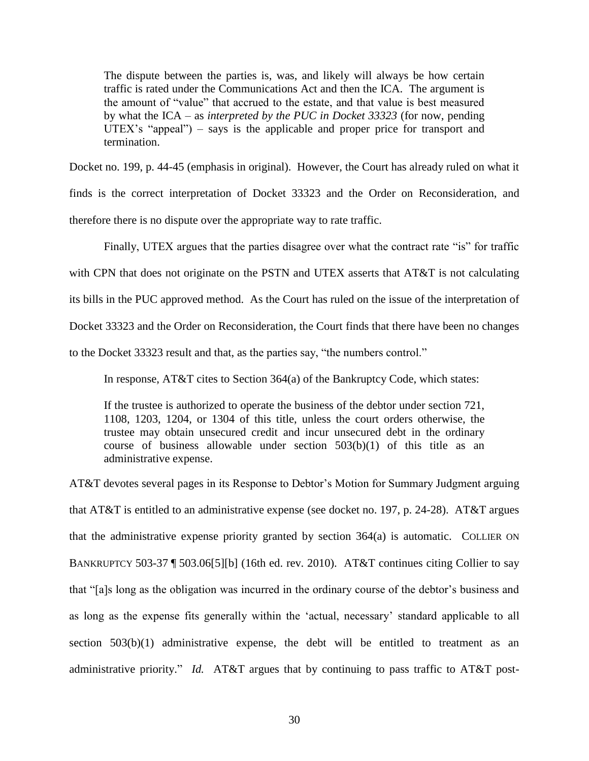The dispute between the parties is, was, and likely will always be how certain traffic is rated under the Communications Act and then the ICA. The argument is the amount of "value" that accrued to the estate, and that value is best measured by what the ICA – as *interpreted by the PUC in Docket 33323* (for now, pending UTEX's "appeal") – says is the applicable and proper price for transport and termination.

Docket no. 199, p. 44-45 (emphasis in original). However, the Court has already ruled on what it finds is the correct interpretation of Docket 33323 and the Order on Reconsideration, and therefore there is no dispute over the appropriate way to rate traffic.

Finally, UTEX argues that the parties disagree over what the contract rate "is" for traffic with CPN that does not originate on the PSTN and UTEX asserts that AT&T is not calculating its bills in the PUC approved method.As the Court has ruled on the issue of the interpretation of Docket 33323 and the Order on Reconsideration, the Court finds that there have been no changes to the Docket 33323 result and that, as the parties say, "the numbers control."

In response, AT&T cites to Section 364(a) of the Bankruptcy Code, which states:

If the trustee is authorized to operate the business of the debtor under section 721, 1108, 1203, 1204, or 1304 of this title, unless the court orders otherwise, the trustee may obtain unsecured credit and incur unsecured debt in the ordinary course of business allowable under section 503(b)(1) of this title as an administrative expense.

AT&T devotes several pages in its Response to Debtor's Motion for Summary Judgment arguing that AT&T is entitled to an administrative expense (see docket no. 197, p. 24-28). AT&T argues that the administrative expense priority granted by section 364(a) is automatic. COLLIER ON BANKRUPTCY 503-37 ¶ 503.06[5][b] (16th ed. rev. 2010). AT&T continues citing Collier to say that ―[a]s long as the obligation was incurred in the ordinary course of the debtor's business and as long as the expense fits generally within the 'actual, necessary' standard applicable to all section  $503(b)(1)$  administrative expense, the debt will be entitled to treatment as an administrative priority." *Id.* AT&T argues that by continuing to pass traffic to AT&T post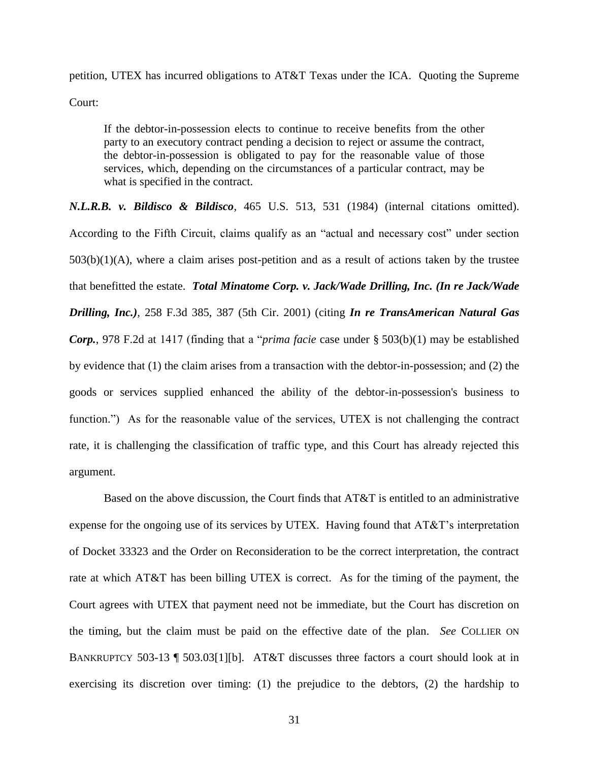petition, UTEX has incurred obligations to AT&T Texas under the ICA. Quoting the Supreme Court:

If the debtor-in-possession elects to continue to receive benefits from the other party to an executory contract pending a decision to reject or assume the contract, the debtor-in-possession is obligated to pay for the reasonable value of those services, which, depending on the circumstances of a particular contract, may be what is specified in the contract.

*N.L.R.B. v. Bildisco & Bildisco*, 465 U.S. 513, 531 (1984) (internal citations omitted). According to the Fifth Circuit, claims qualify as an "actual and necessary cost" under section  $503(b)(1)(A)$ , where a claim arises post-petition and as a result of actions taken by the trustee that benefitted the estate. *Total Minatome Corp. v. Jack/Wade Drilling, Inc. (In re Jack/Wade Drilling, Inc.)*, 258 F.3d 385, 387 (5th Cir. 2001) (citing *In re TransAmerican Natural Gas Corp.*, 978 F.2d at 1417 (finding that a "*prima facie* case under § 503(b)(1) may be established by evidence that (1) the claim arises from a transaction with the debtor-in-possession; and (2) the goods or services supplied enhanced the ability of the debtor-in-possession's business to function.") As for the reasonable value of the services, UTEX is not challenging the contract rate, it is challenging the classification of traffic type, and this Court has already rejected this argument.

Based on the above discussion, the Court finds that AT&T is entitled to an administrative expense for the ongoing use of its services by UTEX. Having found that AT&T's interpretation of Docket 33323 and the Order on Reconsideration to be the correct interpretation, the contract rate at which AT&T has been billing UTEX is correct. As for the timing of the payment, the Court agrees with UTEX that payment need not be immediate, but the Court has discretion on the timing, but the claim must be paid on the effective date of the plan. *See* COLLIER ON BANKRUPTCY 503-13 ¶ 503.03[1][b]. AT&T discusses three factors a court should look at in exercising its discretion over timing: (1) the prejudice to the debtors, (2) the hardship to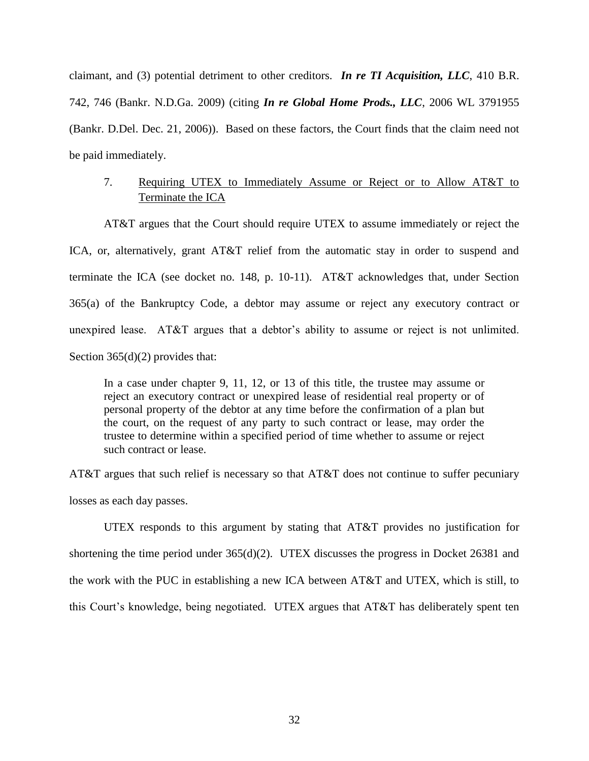claimant, and (3) potential detriment to other creditors. *In re TI Acquisition, LLC*, 410 B.R. 742, 746 (Bankr. N.D.Ga. 2009) (citing *In re Global Home Prods., LLC*, 2006 WL 3791955 (Bankr. D.Del. Dec. 21, 2006)). Based on these factors, the Court finds that the claim need not be paid immediately.

# 7. Requiring UTEX to Immediately Assume or Reject or to Allow AT&T to Terminate the ICA

AT&T argues that the Court should require UTEX to assume immediately or reject the ICA, or, alternatively, grant AT&T relief from the automatic stay in order to suspend and terminate the ICA (see docket no. 148, p. 10-11). AT&T acknowledges that, under Section 365(a) of the Bankruptcy Code, a debtor may assume or reject any executory contract or unexpired lease. AT&T argues that a debtor's ability to assume or reject is not unlimited. Section 365(d)(2) provides that:

In a case under chapter 9, 11, 12, or 13 of this title, the trustee may assume or reject an executory contract or unexpired lease of residential real property or of personal property of the debtor at any time before the confirmation of a plan but the court, on the request of any party to such contract or lease, may order the trustee to determine within a specified period of time whether to assume or reject such contract or lease.

AT&T argues that such relief is necessary so that AT&T does not continue to suffer pecuniary losses as each day passes.

UTEX responds to this argument by stating that AT&T provides no justification for shortening the time period under 365(d)(2). UTEX discusses the progress in Docket 26381 and the work with the PUC in establishing a new ICA between AT&T and UTEX, which is still, to this Court's knowledge, being negotiated. UTEX argues that AT&T has deliberately spent ten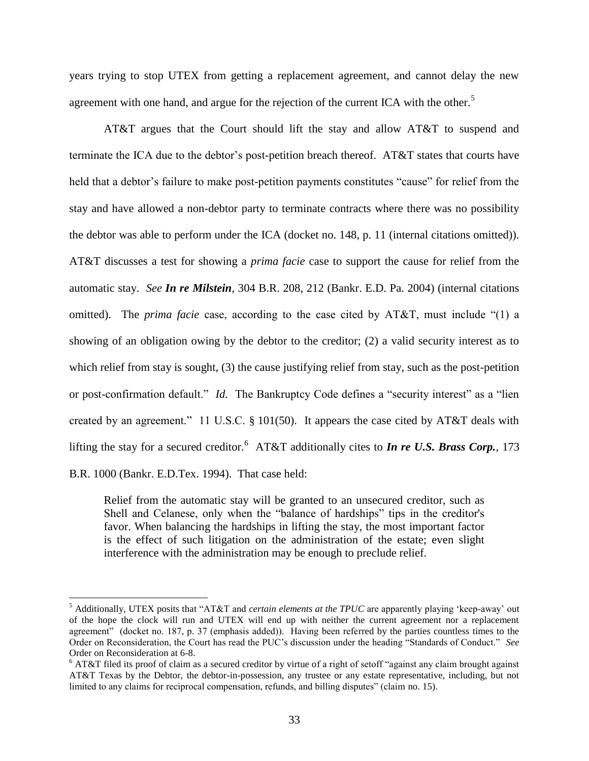years trying to stop UTEX from getting a replacement agreement, and cannot delay the new agreement with one hand, and argue for the rejection of the current ICA with the other.<sup>5</sup>

AT&T argues that the Court should lift the stay and allow AT&T to suspend and terminate the ICA due to the debtor's post-petition breach thereof. AT&T states that courts have held that a debtor's failure to make post-petition payments constitutes "cause" for relief from the stay and have allowed a non-debtor party to terminate contracts where there was no possibility the debtor was able to perform under the ICA (docket no. 148, p. 11 (internal citations omitted)). AT&T discusses a test for showing a *prima facie* case to support the cause for relief from the automatic stay. *See In re Milstein*, 304 B.R. 208, 212 (Bankr. E.D. Pa. 2004) (internal citations omitted). The *prima facie* case, according to the case cited by AT&T, must include "(1) a showing of an obligation owing by the debtor to the creditor; (2) a valid security interest as to which relief from stay is sought, (3) the cause justifying relief from stay, such as the post-petition or post-confirmation default." *Id.* The Bankruptcy Code defines a "security interest" as a "lien created by an agreement." 11 U.S.C. § 101(50). It appears the case cited by AT&T deals with lifting the stay for a secured creditor.<sup>6</sup> AT&T additionally cites to *In re U.S. Brass Corp.*, 173 B.R. 1000 (Bankr. E.D.Tex. 1994). That case held:

Relief from the automatic stay will be granted to an unsecured creditor, such as Shell and Celanese, only when the "balance of hardships" tips in the creditor's favor. When balancing the hardships in lifting the stay, the most important factor is the effect of such litigation on the administration of the estate; even slight interference with the administration may be enough to preclude relief.

 $<sup>5</sup>$  Additionally, UTEX posits that "AT&T and *certain elements at the TPUC* are apparently playing 'keep-away' out</sup> of the hope the clock will run and UTEX will end up with neither the current agreement nor a replacement agreement" (docket no. 187, p. 37 (emphasis added)). Having been referred by the parties countless times to the Order on Reconsideration, the Court has read the PUC's discussion under the heading "Standards of Conduct." See Order on Reconsideration at 6-8.

 $6$  AT&T filed its proof of claim as a secured creditor by virtue of a right of setoff "against any claim brought against AT&T Texas by the Debtor, the debtor-in-possession, any trustee or any estate representative, including, but not limited to any claims for reciprocal compensation, refunds, and billing disputes" (claim no. 15).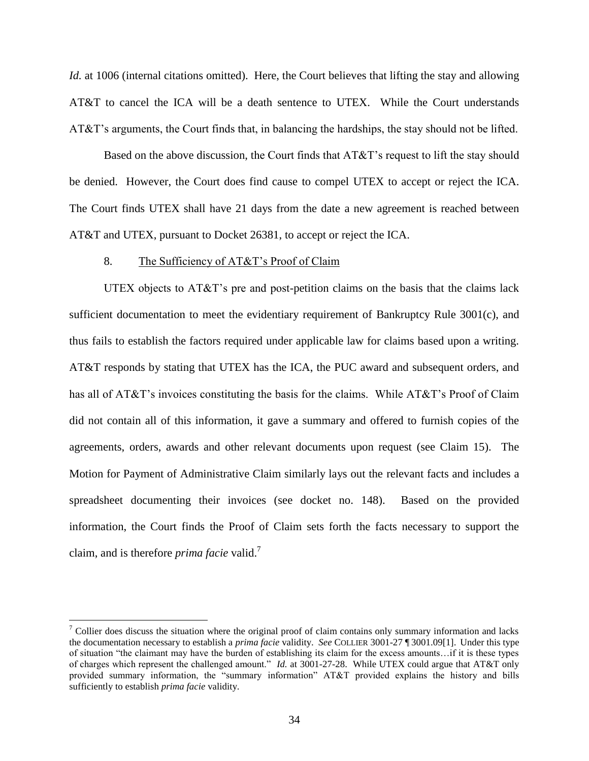*Id.* at 1006 (internal citations omitted). Here, the Court believes that lifting the stay and allowing AT&T to cancel the ICA will be a death sentence to UTEX. While the Court understands AT&T's arguments, the Court finds that, in balancing the hardships, the stay should not be lifted.

Based on the above discussion, the Court finds that AT&T's request to lift the stay should be denied. However, the Court does find cause to compel UTEX to accept or reject the ICA. The Court finds UTEX shall have 21 days from the date a new agreement is reached between AT&T and UTEX, pursuant to Docket 26381, to accept or reject the ICA.

#### 8. The Sufficiency of AT&T's Proof of Claim

 $\overline{a}$ 

UTEX objects to AT&T's pre and post-petition claims on the basis that the claims lack sufficient documentation to meet the evidentiary requirement of Bankruptcy Rule 3001(c), and thus fails to establish the factors required under applicable law for claims based upon a writing. AT&T responds by stating that UTEX has the ICA, the PUC award and subsequent orders, and has all of AT&T's invoices constituting the basis for the claims. While AT&T's Proof of Claim did not contain all of this information, it gave a summary and offered to furnish copies of the agreements, orders, awards and other relevant documents upon request (see Claim 15). The Motion for Payment of Administrative Claim similarly lays out the relevant facts and includes a spreadsheet documenting their invoices (see docket no. 148). Based on the provided information, the Court finds the Proof of Claim sets forth the facts necessary to support the claim, and is therefore *prima facie* valid.<sup>7</sup>

 $\frac{7}{1}$  Collier does discuss the situation where the original proof of claim contains only summary information and lacks the documentation necessary to establish a *prima facie* validity. *See* COLLIER 3001-27 ¶ 3001.09[1]. Under this type of situation "the claimant may have the burden of establishing its claim for the excess amounts...if it is these types of charges which represent the challenged amount." *Id.* at 3001-27-28. While UTEX could argue that AT&T only provided summary information, the "summary information" AT&T provided explains the history and bills sufficiently to establish *prima facie* validity.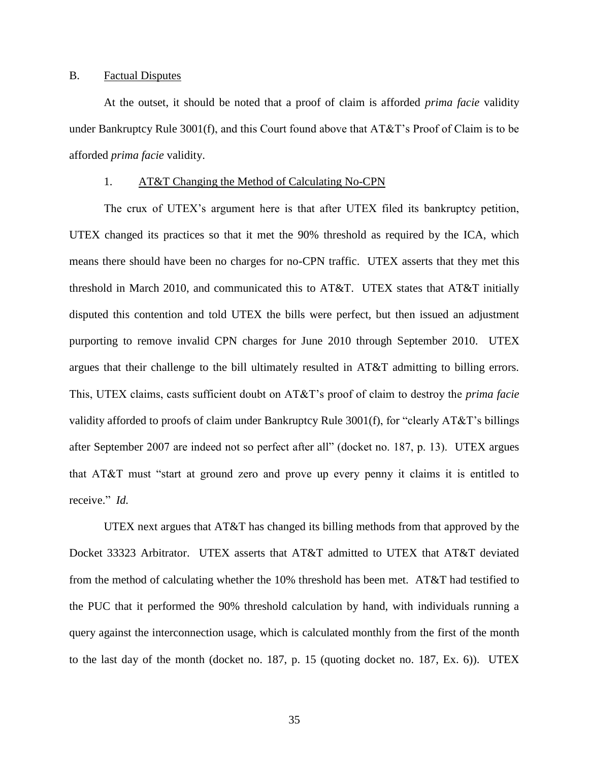# B. Factual Disputes

At the outset, it should be noted that a proof of claim is afforded *prima facie* validity under Bankruptcy Rule 3001(f), and this Court found above that AT&T's Proof of Claim is to be afforded *prima facie* validity.

### 1. AT&T Changing the Method of Calculating No-CPN

The crux of UTEX's argument here is that after UTEX filed its bankruptcy petition, UTEX changed its practices so that it met the 90% threshold as required by the ICA, which means there should have been no charges for no-CPN traffic. UTEX asserts that they met this threshold in March 2010, and communicated this to AT&T. UTEX states that AT&T initially disputed this contention and told UTEX the bills were perfect, but then issued an adjustment purporting to remove invalid CPN charges for June 2010 through September 2010. UTEX argues that their challenge to the bill ultimately resulted in AT&T admitting to billing errors. This, UTEX claims, casts sufficient doubt on AT&T's proof of claim to destroy the *prima facie* validity afforded to proofs of claim under Bankruptcy Rule  $3001(f)$ , for "clearly AT&T's billings after September 2007 are indeed not so perfect after all" (docket no. 187, p. 13). UTEX argues that  $AT&T$  must "start at ground zero and prove up every penny it claims it is entitled to receive." *Id.* 

UTEX next argues that AT&T has changed its billing methods from that approved by the Docket 33323 Arbitrator. UTEX asserts that AT&T admitted to UTEX that AT&T deviated from the method of calculating whether the 10% threshold has been met. AT&T had testified to the PUC that it performed the 90% threshold calculation by hand, with individuals running a query against the interconnection usage, which is calculated monthly from the first of the month to the last day of the month (docket no. 187, p. 15 (quoting docket no. 187, Ex. 6)). UTEX

35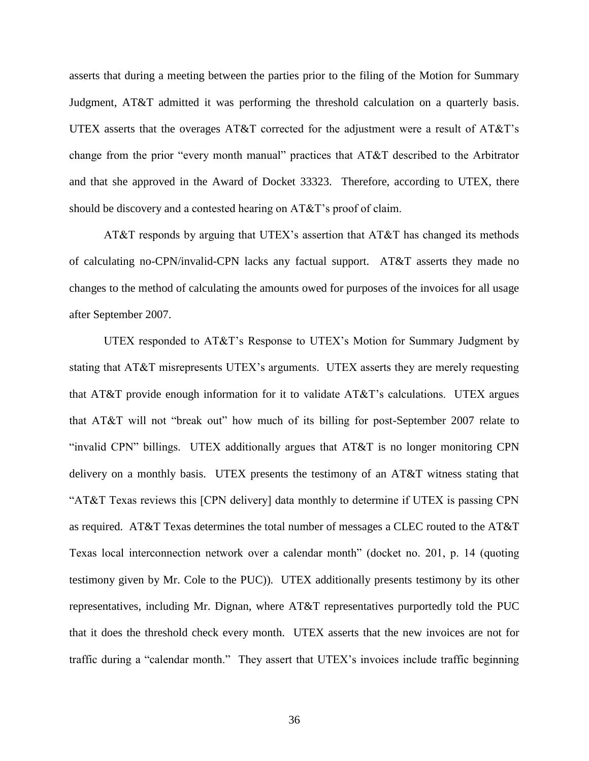asserts that during a meeting between the parties prior to the filing of the Motion for Summary Judgment, AT&T admitted it was performing the threshold calculation on a quarterly basis. UTEX asserts that the overages AT&T corrected for the adjustment were a result of AT&T's change from the prior "every month manual" practices that  $AT&T$  described to the Arbitrator and that she approved in the Award of Docket 33323. Therefore, according to UTEX, there should be discovery and a contested hearing on AT&T's proof of claim.

AT&T responds by arguing that UTEX's assertion that AT&T has changed its methods of calculating no-CPN/invalid-CPN lacks any factual support. AT&T asserts they made no changes to the method of calculating the amounts owed for purposes of the invoices for all usage after September 2007.

UTEX responded to AT&T's Response to UTEX's Motion for Summary Judgment by stating that AT&T misrepresents UTEX's arguments. UTEX asserts they are merely requesting that AT&T provide enough information for it to validate AT&T's calculations. UTEX argues that AT&T will not "break out" how much of its billing for post-September 2007 relate to "invalid CPN" billings. UTEX additionally argues that AT&T is no longer monitoring CPN delivery on a monthly basis. UTEX presents the testimony of an AT&T witness stating that "AT&T Texas reviews this [CPN delivery] data monthly to determine if UTEX is passing CPN as required. AT&T Texas determines the total number of messages a CLEC routed to the AT&T Texas local interconnection network over a calendar month" (docket no. 201, p. 14 (quoting testimony given by Mr. Cole to the PUC)). UTEX additionally presents testimony by its other representatives, including Mr. Dignan, where AT&T representatives purportedly told the PUC that it does the threshold check every month. UTEX asserts that the new invoices are not for traffic during a "calendar month." They assert that UTEX's invoices include traffic beginning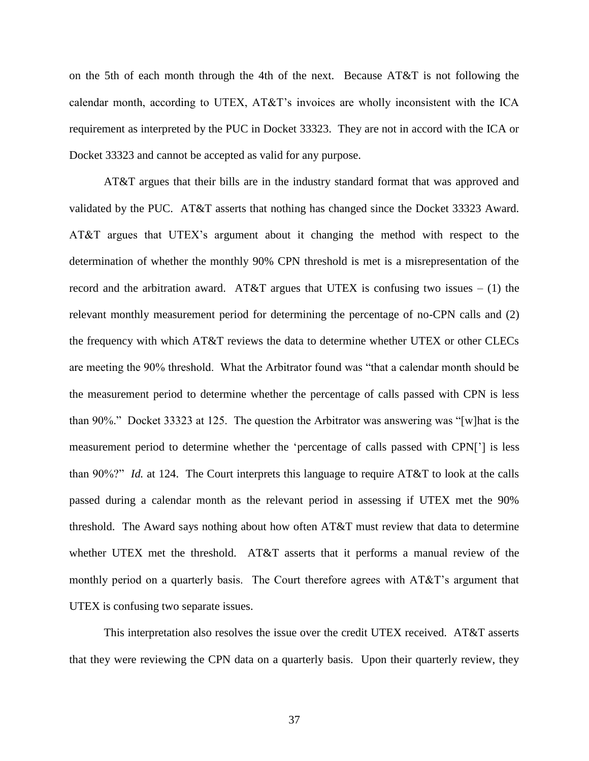on the 5th of each month through the 4th of the next. Because AT&T is not following the calendar month, according to UTEX, AT&T's invoices are wholly inconsistent with the ICA requirement as interpreted by the PUC in Docket 33323. They are not in accord with the ICA or Docket 33323 and cannot be accepted as valid for any purpose.

AT&T argues that their bills are in the industry standard format that was approved and validated by the PUC. AT&T asserts that nothing has changed since the Docket 33323 Award. AT&T argues that UTEX's argument about it changing the method with respect to the determination of whether the monthly 90% CPN threshold is met is a misrepresentation of the record and the arbitration award. AT&T argues that UTEX is confusing two issues  $- (1)$  the relevant monthly measurement period for determining the percentage of no-CPN calls and (2) the frequency with which AT&T reviews the data to determine whether UTEX or other CLECs are meeting the 90% threshold. What the Arbitrator found was "that a calendar month should be the measurement period to determine whether the percentage of calls passed with CPN is less than 90%." Docket 33323 at 125. The question the Arbitrator was answering was "[w]hat is the measurement period to determine whether the 'percentage of calls passed with CPN['] is less than 90%?‖ *Id.* at 124. The Court interprets this language to require AT&T to look at the calls passed during a calendar month as the relevant period in assessing if UTEX met the 90% threshold. The Award says nothing about how often AT&T must review that data to determine whether UTEX met the threshold. AT&T asserts that it performs a manual review of the monthly period on a quarterly basis. The Court therefore agrees with AT&T's argument that UTEX is confusing two separate issues.

This interpretation also resolves the issue over the credit UTEX received. AT&T asserts that they were reviewing the CPN data on a quarterly basis. Upon their quarterly review, they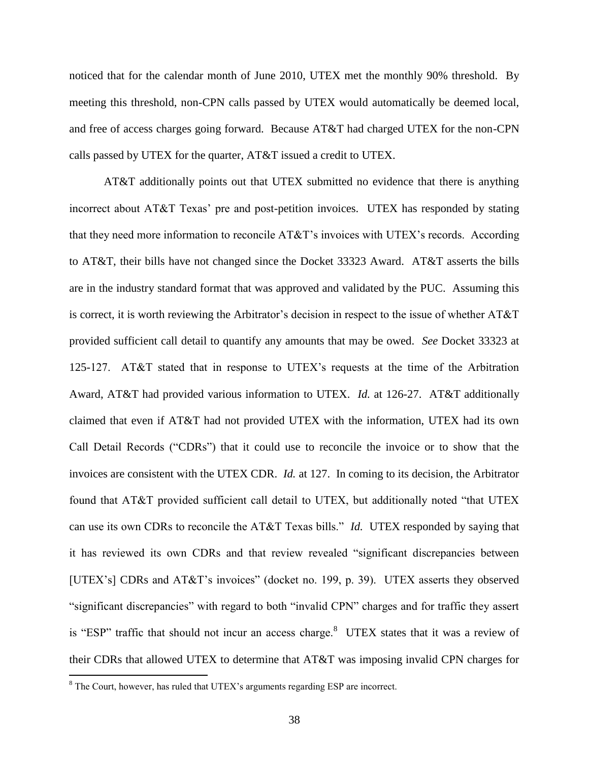noticed that for the calendar month of June 2010, UTEX met the monthly 90% threshold. By meeting this threshold, non-CPN calls passed by UTEX would automatically be deemed local, and free of access charges going forward. Because AT&T had charged UTEX for the non-CPN calls passed by UTEX for the quarter, AT&T issued a credit to UTEX.

AT&T additionally points out that UTEX submitted no evidence that there is anything incorrect about AT&T Texas' pre and post-petition invoices. UTEX has responded by stating that they need more information to reconcile AT&T's invoices with UTEX's records. According to AT&T, their bills have not changed since the Docket 33323 Award. AT&T asserts the bills are in the industry standard format that was approved and validated by the PUC. Assuming this is correct, it is worth reviewing the Arbitrator's decision in respect to the issue of whether AT&T provided sufficient call detail to quantify any amounts that may be owed. *See* Docket 33323 at 125-127. AT&T stated that in response to UTEX's requests at the time of the Arbitration Award, AT&T had provided various information to UTEX. *Id.* at 126-27. AT&T additionally claimed that even if AT&T had not provided UTEX with the information, UTEX had its own Call Detail Records ("CDRs") that it could use to reconcile the invoice or to show that the invoices are consistent with the UTEX CDR. *Id.* at 127. In coming to its decision, the Arbitrator found that AT&T provided sufficient call detail to UTEX, but additionally noted "that UTEX can use its own CDRs to reconcile the AT&T Texas bills." *Id.* UTEX responded by saying that it has reviewed its own CDRs and that review revealed "significant discrepancies between [UTEX's] CDRs and AT&T's invoices" (docket no. 199, p. 39). UTEX asserts they observed "significant discrepancies" with regard to both "invalid CPN" charges and for traffic they assert is "ESP" traffic that should not incur an access charge.<sup>8</sup> UTEX states that it was a review of their CDRs that allowed UTEX to determine that AT&T was imposing invalid CPN charges for

<sup>&</sup>lt;sup>8</sup> The Court, however, has ruled that UTEX's arguments regarding ESP are incorrect.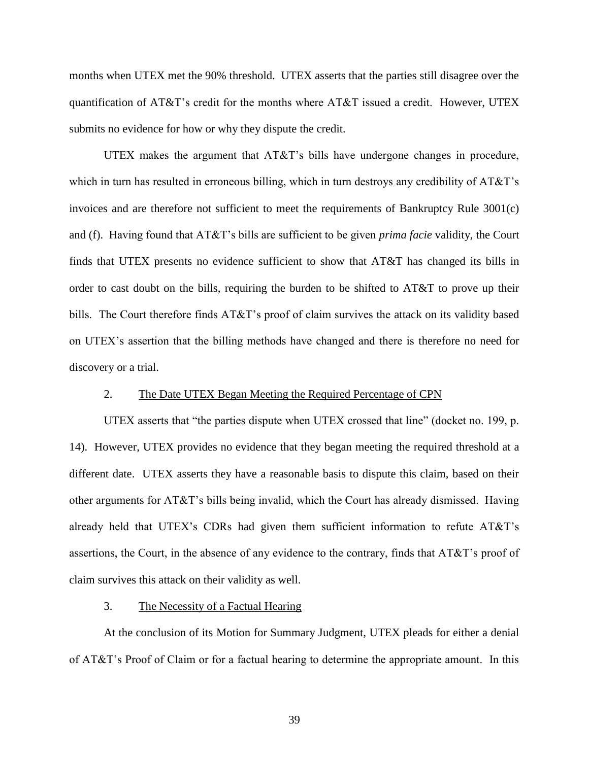months when UTEX met the 90% threshold. UTEX asserts that the parties still disagree over the quantification of AT&T's credit for the months where AT&T issued a credit. However, UTEX submits no evidence for how or why they dispute the credit.

UTEX makes the argument that  $AT&T$ 's bills have undergone changes in procedure, which in turn has resulted in erroneous billing, which in turn destroys any credibility of AT&T's invoices and are therefore not sufficient to meet the requirements of Bankruptcy Rule 3001(c) and (f). Having found that AT&T's bills are sufficient to be given *prima facie* validity, the Court finds that UTEX presents no evidence sufficient to show that AT&T has changed its bills in order to cast doubt on the bills, requiring the burden to be shifted to AT&T to prove up their bills. The Court therefore finds AT&T's proof of claim survives the attack on its validity based on UTEX's assertion that the billing methods have changed and there is therefore no need for discovery or a trial.

# 2. The Date UTEX Began Meeting the Required Percentage of CPN

UTEX asserts that "the parties dispute when UTEX crossed that line" (docket no. 199, p. 14). However, UTEX provides no evidence that they began meeting the required threshold at a different date. UTEX asserts they have a reasonable basis to dispute this claim, based on their other arguments for AT&T's bills being invalid, which the Court has already dismissed. Having already held that UTEX's CDRs had given them sufficient information to refute AT&T's assertions, the Court, in the absence of any evidence to the contrary, finds that AT&T's proof of claim survives this attack on their validity as well.

### 3. The Necessity of a Factual Hearing

At the conclusion of its Motion for Summary Judgment, UTEX pleads for either a denial of AT&T's Proof of Claim or for a factual hearing to determine the appropriate amount. In this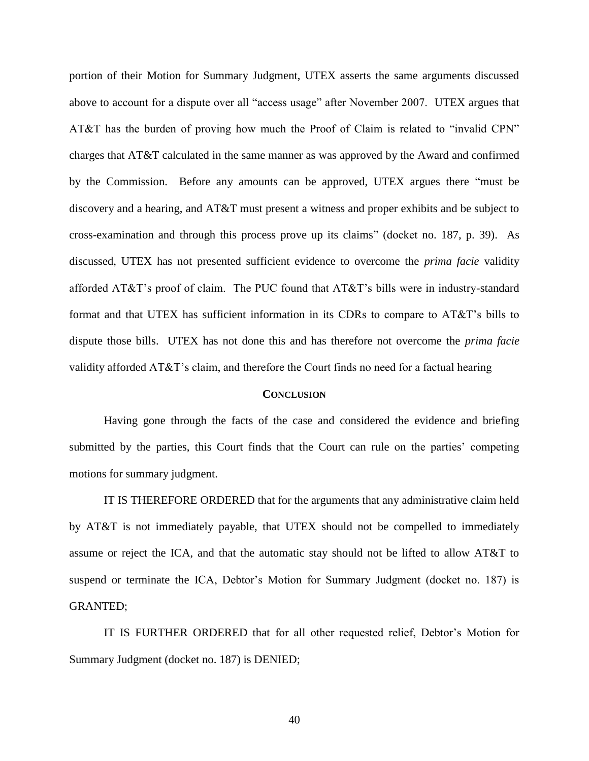portion of their Motion for Summary Judgment, UTEX asserts the same arguments discussed above to account for a dispute over all "access usage" after November 2007. UTEX argues that AT&T has the burden of proving how much the Proof of Claim is related to "invalid CPN" charges that AT&T calculated in the same manner as was approved by the Award and confirmed by the Commission. Before any amounts can be approved, UTEX argues there "must be discovery and a hearing, and AT&T must present a witness and proper exhibits and be subject to cross-examination and through this process prove up its claims" (docket no. 187, p. 39). As discussed, UTEX has not presented sufficient evidence to overcome the *prima facie* validity afforded AT&T's proof of claim. The PUC found that AT&T's bills were in industry-standard format and that UTEX has sufficient information in its CDRs to compare to AT&T's bills to dispute those bills. UTEX has not done this and has therefore not overcome the *prima facie* validity afforded AT&T's claim, and therefore the Court finds no need for a factual hearing

### **CONCLUSION**

Having gone through the facts of the case and considered the evidence and briefing submitted by the parties, this Court finds that the Court can rule on the parties' competing motions for summary judgment.

IT IS THEREFORE ORDERED that for the arguments that any administrative claim held by AT&T is not immediately payable, that UTEX should not be compelled to immediately assume or reject the ICA, and that the automatic stay should not be lifted to allow AT&T to suspend or terminate the ICA, Debtor's Motion for Summary Judgment (docket no. 187) is GRANTED;

IT IS FURTHER ORDERED that for all other requested relief, Debtor's Motion for Summary Judgment (docket no. 187) is DENIED;

40